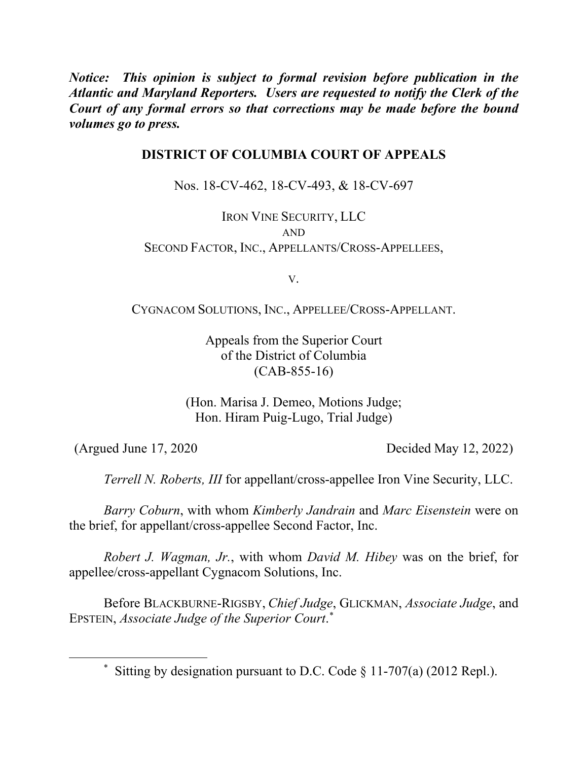*Notice: This opinion is subject to formal revision before publication in the Atlantic and Maryland Reporters. Users are requested to notify the Clerk of the Court of any formal errors so that corrections may be made before the bound volumes go to press.*

# **DISTRICT OF COLUMBIA COURT OF APPEALS**

Nos. 18-CV-462, 18-CV-493, & 18-CV-697

IRON VINE SECURITY, LLC AND SECOND FACTOR, INC., APPELLANTS/CROSS-APPELLEES,

V.

CYGNACOM SOLUTIONS, INC., APPELLEE/CROSS-APPELLANT.

Appeals from the Superior Court of the District of Columbia (CAB-855-16)

(Hon. Marisa J. Demeo, Motions Judge; Hon. Hiram Puig-Lugo, Trial Judge)

 $\overline{\phantom{a}}$ 

(Argued June 17, 2020 Decided May 12, 2022)

*Terrell N. Roberts, III* for appellant/cross-appellee Iron Vine Security, LLC.

*Barry Coburn*, with whom *Kimberly Jandrain* and *Marc Eisenstein* were on the brief, for appellant/cross-appellee Second Factor, Inc.

*Robert J. Wagman, Jr.*, with whom *David M. Hibey* was on the brief, for appellee/cross-appellant Cygnacom Solutions, Inc.

Before BLACKBURNE-RIGSBY, *Chief Judge*, GLICKMAN, *Associate Judge*, and EPSTEIN, *Associate Judge of the Superior Court*. \*

<sup>\*</sup> Sitting by designation pursuant to D.C. Code § 11-707(a) (2012 Repl.).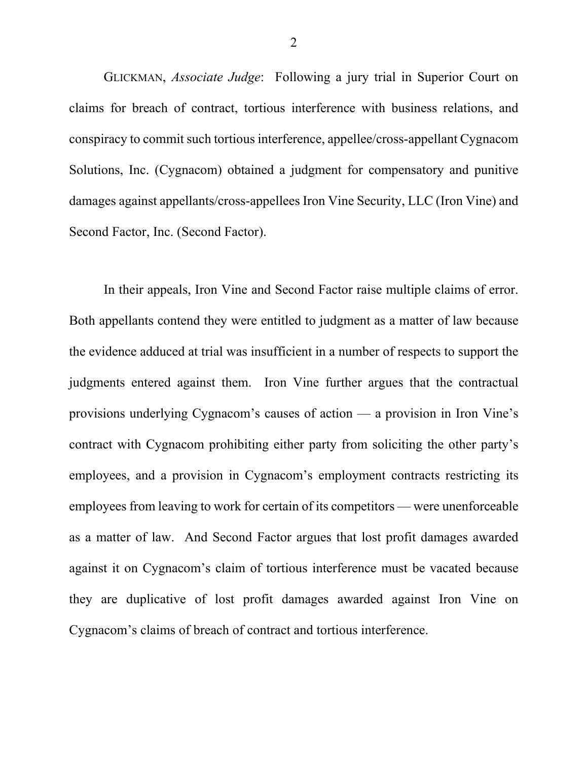GLICKMAN, *Associate Judge*: Following a jury trial in Superior Court on claims for breach of contract, tortious interference with business relations, and conspiracy to commit such tortious interference, appellee/cross-appellant Cygnacom Solutions, Inc. (Cygnacom) obtained a judgment for compensatory and punitive damages against appellants/cross-appellees Iron Vine Security, LLC (Iron Vine) and Second Factor, Inc. (Second Factor).

In their appeals, Iron Vine and Second Factor raise multiple claims of error. Both appellants contend they were entitled to judgment as a matter of law because the evidence adduced at trial was insufficient in a number of respects to support the judgments entered against them. Iron Vine further argues that the contractual provisions underlying Cygnacom's causes of action — a provision in Iron Vine's contract with Cygnacom prohibiting either party from soliciting the other party's employees, and a provision in Cygnacom's employment contracts restricting its employees from leaving to work for certain of its competitors — were unenforceable as a matter of law. And Second Factor argues that lost profit damages awarded against it on Cygnacom's claim of tortious interference must be vacated because they are duplicative of lost profit damages awarded against Iron Vine on Cygnacom's claims of breach of contract and tortious interference.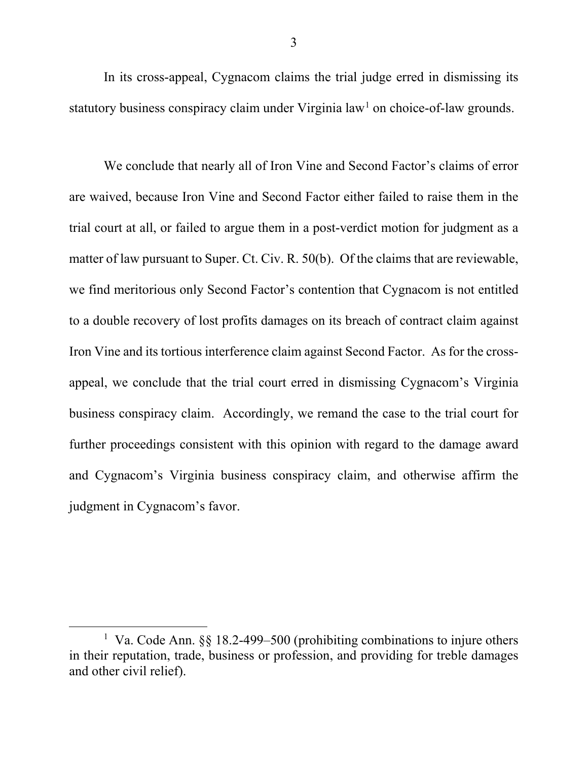In its cross-appeal, Cygnacom claims the trial judge erred in dismissing its statutory business conspiracy claim under Virginia  $law<sup>1</sup>$  on choice-of-law grounds.

We conclude that nearly all of Iron Vine and Second Factor's claims of error are waived, because Iron Vine and Second Factor either failed to raise them in the trial court at all, or failed to argue them in a post-verdict motion for judgment as a matter of law pursuant to Super. Ct. Civ. R. 50(b). Of the claims that are reviewable, we find meritorious only Second Factor's contention that Cygnacom is not entitled to a double recovery of lost profits damages on its breach of contract claim against Iron Vine and its tortious interference claim against Second Factor. As for the crossappeal, we conclude that the trial court erred in dismissing Cygnacom's Virginia business conspiracy claim. Accordingly, we remand the case to the trial court for further proceedings consistent with this opinion with regard to the damage award and Cygnacom's Virginia business conspiracy claim, and otherwise affirm the judgment in Cygnacom's favor.

 $\overline{a}$ 

<sup>&</sup>lt;sup>1</sup> Va. Code Ann. §§ 18.2-499–500 (prohibiting combinations to injure others in their reputation, trade, business or profession, and providing for treble damages and other civil relief).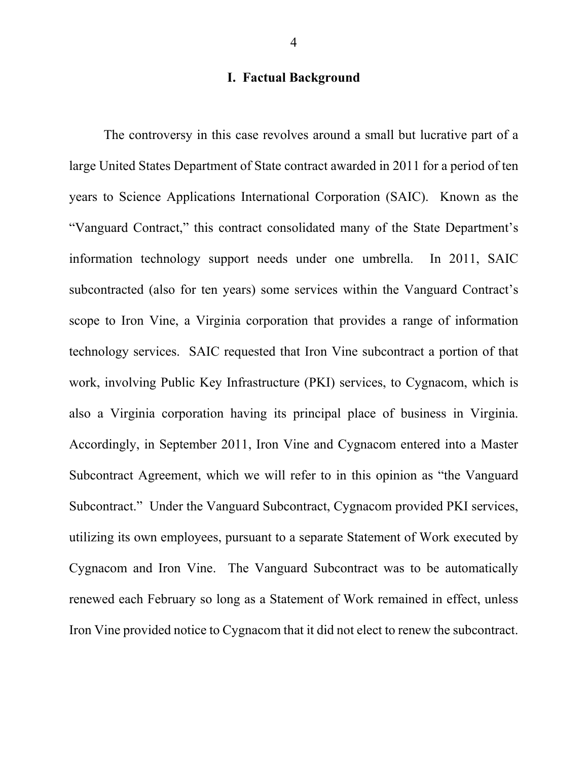# **I. Factual Background**

The controversy in this case revolves around a small but lucrative part of a large United States Department of State contract awarded in 2011 for a period of ten years to Science Applications International Corporation (SAIC). Known as the "Vanguard Contract," this contract consolidated many of the State Department's information technology support needs under one umbrella. In 2011, SAIC subcontracted (also for ten years) some services within the Vanguard Contract's scope to Iron Vine, a Virginia corporation that provides a range of information technology services. SAIC requested that Iron Vine subcontract a portion of that work, involving Public Key Infrastructure (PKI) services, to Cygnacom, which is also a Virginia corporation having its principal place of business in Virginia. Accordingly, in September 2011, Iron Vine and Cygnacom entered into a Master Subcontract Agreement, which we will refer to in this opinion as "the Vanguard Subcontract." Under the Vanguard Subcontract, Cygnacom provided PKI services, utilizing its own employees, pursuant to a separate Statement of Work executed by Cygnacom and Iron Vine. The Vanguard Subcontract was to be automatically renewed each February so long as a Statement of Work remained in effect, unless Iron Vine provided notice to Cygnacom that it did not elect to renew the subcontract.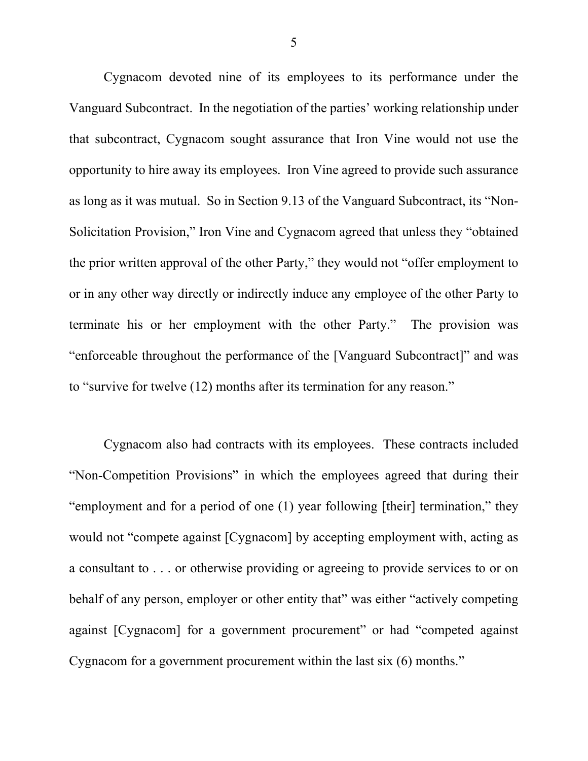Cygnacom devoted nine of its employees to its performance under the Vanguard Subcontract. In the negotiation of the parties' working relationship under that subcontract, Cygnacom sought assurance that Iron Vine would not use the opportunity to hire away its employees. Iron Vine agreed to provide such assurance as long as it was mutual. So in Section 9.13 of the Vanguard Subcontract, its "Non-Solicitation Provision," Iron Vine and Cygnacom agreed that unless they "obtained the prior written approval of the other Party," they would not "offer employment to or in any other way directly or indirectly induce any employee of the other Party to terminate his or her employment with the other Party." The provision was "enforceable throughout the performance of the [Vanguard Subcontract]" and was to "survive for twelve (12) months after its termination for any reason."

Cygnacom also had contracts with its employees. These contracts included "Non-Competition Provisions" in which the employees agreed that during their "employment and for a period of one (1) year following [their] termination," they would not "compete against [Cygnacom] by accepting employment with, acting as a consultant to . . . or otherwise providing or agreeing to provide services to or on behalf of any person, employer or other entity that" was either "actively competing against [Cygnacom] for a government procurement" or had "competed against Cygnacom for a government procurement within the last six (6) months."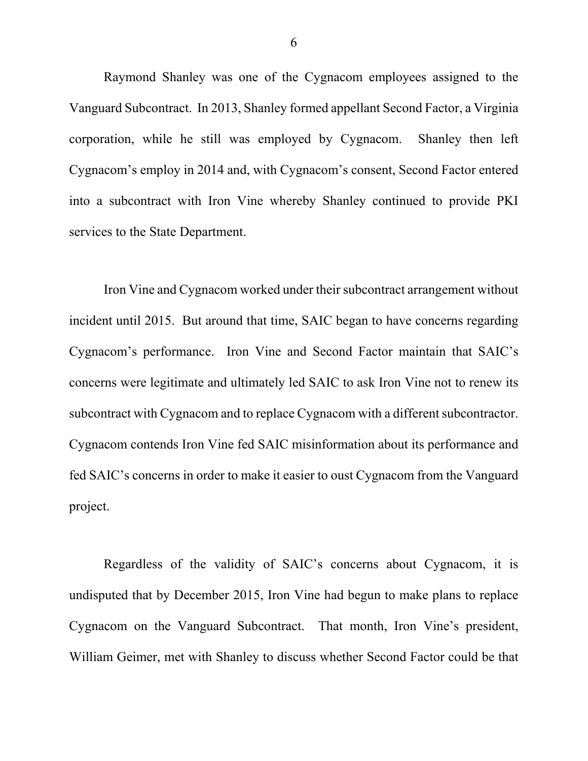Raymond Shanley was one of the Cygnacom employees assigned to the Vanguard Subcontract. In 2013, Shanley formed appellant Second Factor, a Virginia corporation, while he still was employed by Cygnacom. Shanley then left Cygnacom's employ in 2014 and, with Cygnacom's consent, Second Factor entered into a subcontract with Iron Vine whereby Shanley continued to provide PKI services to the State Department.

Iron Vine and Cygnacom worked under their subcontract arrangement without incident until 2015. But around that time, SAIC began to have concerns regarding Cygnacom's performance. Iron Vine and Second Factor maintain that SAIC's concerns were legitimate and ultimately led SAIC to ask Iron Vine not to renew its subcontract with Cygnacom and to replace Cygnacom with a different subcontractor. Cygnacom contends Iron Vine fed SAIC misinformation about its performance and fed SAIC's concerns in order to make it easier to oust Cygnacom from the Vanguard project.

Regardless of the validity of SAIC's concerns about Cygnacom, it is undisputed that by December 2015, Iron Vine had begun to make plans to replace Cygnacom on the Vanguard Subcontract. That month, Iron Vine's president, William Geimer, met with Shanley to discuss whether Second Factor could be that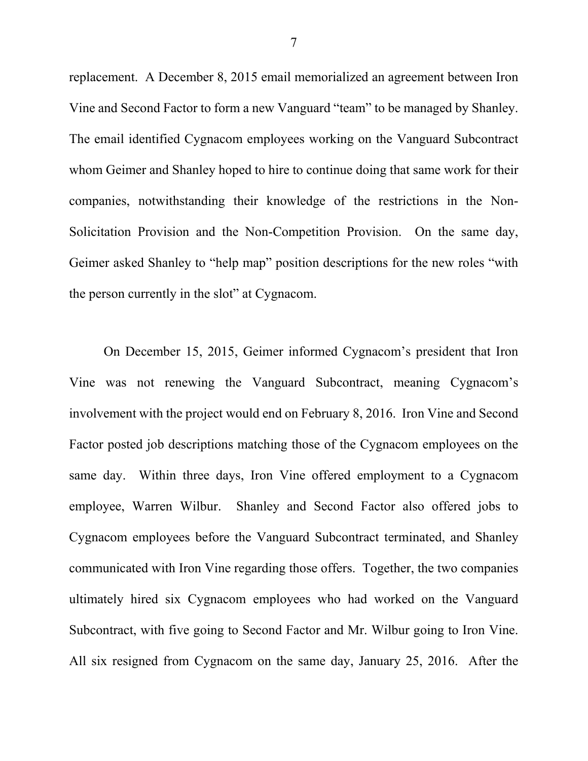replacement. A December 8, 2015 email memorialized an agreement between Iron Vine and Second Factor to form a new Vanguard "team" to be managed by Shanley. The email identified Cygnacom employees working on the Vanguard Subcontract whom Geimer and Shanley hoped to hire to continue doing that same work for their companies, notwithstanding their knowledge of the restrictions in the Non-Solicitation Provision and the Non-Competition Provision. On the same day, Geimer asked Shanley to "help map" position descriptions for the new roles "with the person currently in the slot" at Cygnacom.

On December 15, 2015, Geimer informed Cygnacom's president that Iron Vine was not renewing the Vanguard Subcontract, meaning Cygnacom's involvement with the project would end on February 8, 2016. Iron Vine and Second Factor posted job descriptions matching those of the Cygnacom employees on the same day. Within three days, Iron Vine offered employment to a Cygnacom employee, Warren Wilbur. Shanley and Second Factor also offered jobs to Cygnacom employees before the Vanguard Subcontract terminated, and Shanley communicated with Iron Vine regarding those offers. Together, the two companies ultimately hired six Cygnacom employees who had worked on the Vanguard Subcontract, with five going to Second Factor and Mr. Wilbur going to Iron Vine. All six resigned from Cygnacom on the same day, January 25, 2016. After the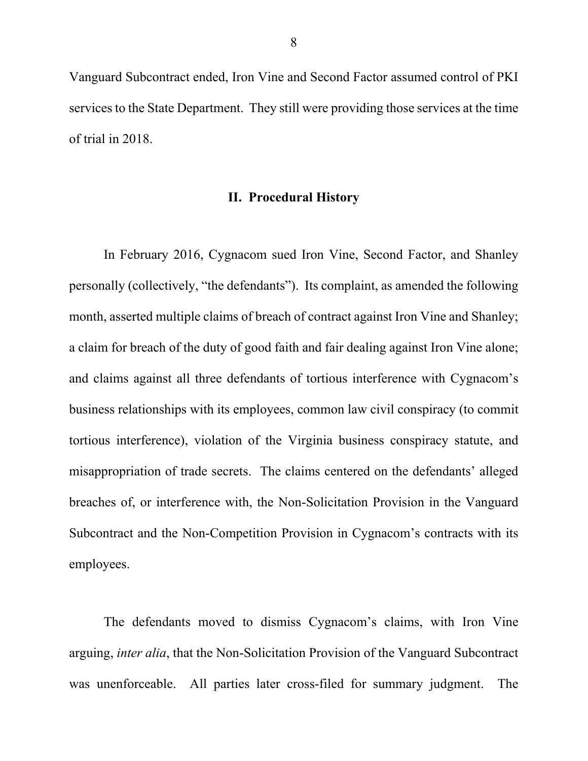Vanguard Subcontract ended, Iron Vine and Second Factor assumed control of PKI services to the State Department. They still were providing those services at the time of trial in 2018.

## **II. Procedural History**

In February 2016, Cygnacom sued Iron Vine, Second Factor, and Shanley personally (collectively, "the defendants"). Its complaint, as amended the following month, asserted multiple claims of breach of contract against Iron Vine and Shanley; a claim for breach of the duty of good faith and fair dealing against Iron Vine alone; and claims against all three defendants of tortious interference with Cygnacom's business relationships with its employees, common law civil conspiracy (to commit tortious interference), violation of the Virginia business conspiracy statute, and misappropriation of trade secrets. The claims centered on the defendants' alleged breaches of, or interference with, the Non-Solicitation Provision in the Vanguard Subcontract and the Non-Competition Provision in Cygnacom's contracts with its employees.

The defendants moved to dismiss Cygnacom's claims, with Iron Vine arguing, *inter alia*, that the Non-Solicitation Provision of the Vanguard Subcontract was unenforceable. All parties later cross-filed for summary judgment. The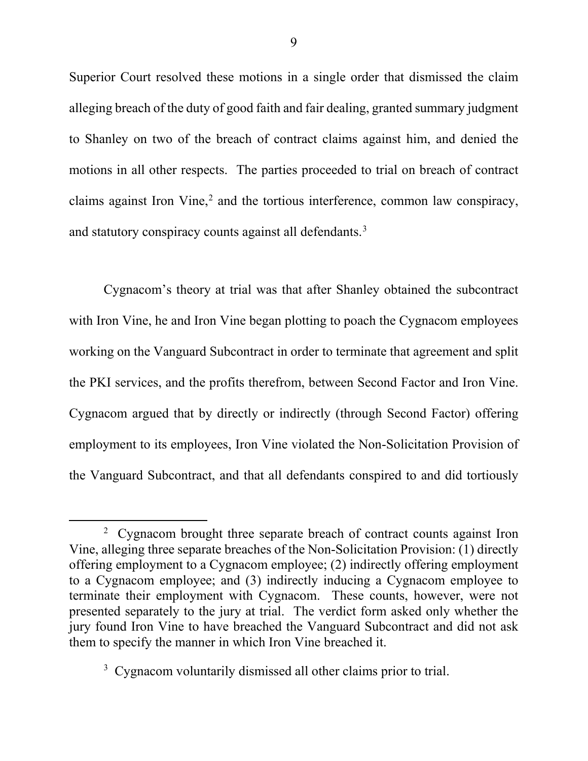Superior Court resolved these motions in a single order that dismissed the claim alleging breach of the duty of good faith and fair dealing, granted summary judgment to Shanley on two of the breach of contract claims against him, and denied the motions in all other respects. The parties proceeded to trial on breach of contract claims against Iron Vine, $<sup>2</sup>$  and the tortious interference, common law conspiracy,</sup> and statutory conspiracy counts against all defendants.<sup>3</sup>

Cygnacom's theory at trial was that after Shanley obtained the subcontract with Iron Vine, he and Iron Vine began plotting to poach the Cygnacom employees working on the Vanguard Subcontract in order to terminate that agreement and split the PKI services, and the profits therefrom, between Second Factor and Iron Vine. Cygnacom argued that by directly or indirectly (through Second Factor) offering employment to its employees, Iron Vine violated the Non-Solicitation Provision of the Vanguard Subcontract, and that all defendants conspired to and did tortiously

 $\overline{a}$ 

<sup>&</sup>lt;sup>2</sup> Cygnacom brought three separate breach of contract counts against Iron Vine, alleging three separate breaches of the Non-Solicitation Provision: (1) directly offering employment to a Cygnacom employee; (2) indirectly offering employment to a Cygnacom employee; and (3) indirectly inducing a Cygnacom employee to terminate their employment with Cygnacom. These counts, however, were not presented separately to the jury at trial. The verdict form asked only whether the jury found Iron Vine to have breached the Vanguard Subcontract and did not ask them to specify the manner in which Iron Vine breached it.

<sup>&</sup>lt;sup>3</sup> Cygnacom voluntarily dismissed all other claims prior to trial.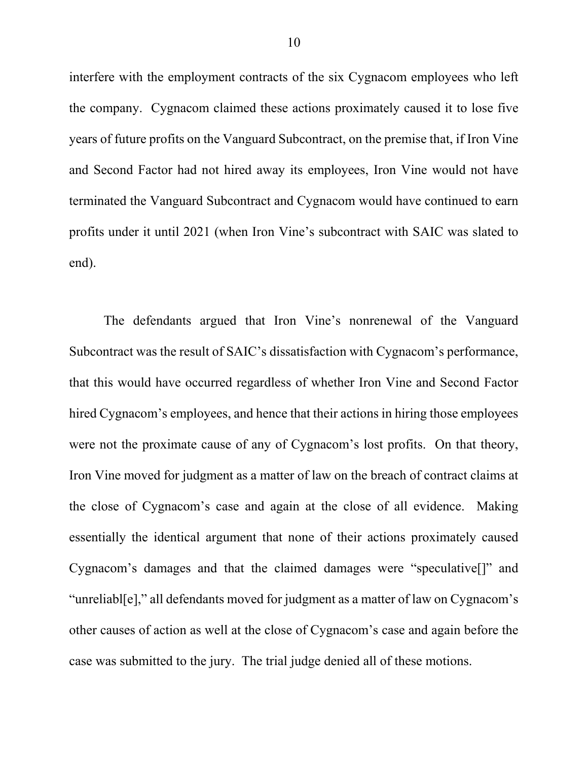interfere with the employment contracts of the six Cygnacom employees who left the company. Cygnacom claimed these actions proximately caused it to lose five years of future profits on the Vanguard Subcontract, on the premise that, if Iron Vine and Second Factor had not hired away its employees, Iron Vine would not have terminated the Vanguard Subcontract and Cygnacom would have continued to earn profits under it until 2021 (when Iron Vine's subcontract with SAIC was slated to end).

The defendants argued that Iron Vine's nonrenewal of the Vanguard Subcontract was the result of SAIC's dissatisfaction with Cygnacom's performance, that this would have occurred regardless of whether Iron Vine and Second Factor hired Cygnacom's employees, and hence that their actions in hiring those employees were not the proximate cause of any of Cygnacom's lost profits. On that theory, Iron Vine moved for judgment as a matter of law on the breach of contract claims at the close of Cygnacom's case and again at the close of all evidence. Making essentially the identical argument that none of their actions proximately caused Cygnacom's damages and that the claimed damages were "speculative[]" and "unreliabl[e]," all defendants moved for judgment as a matter of law on Cygnacom's other causes of action as well at the close of Cygnacom's case and again before the case was submitted to the jury. The trial judge denied all of these motions.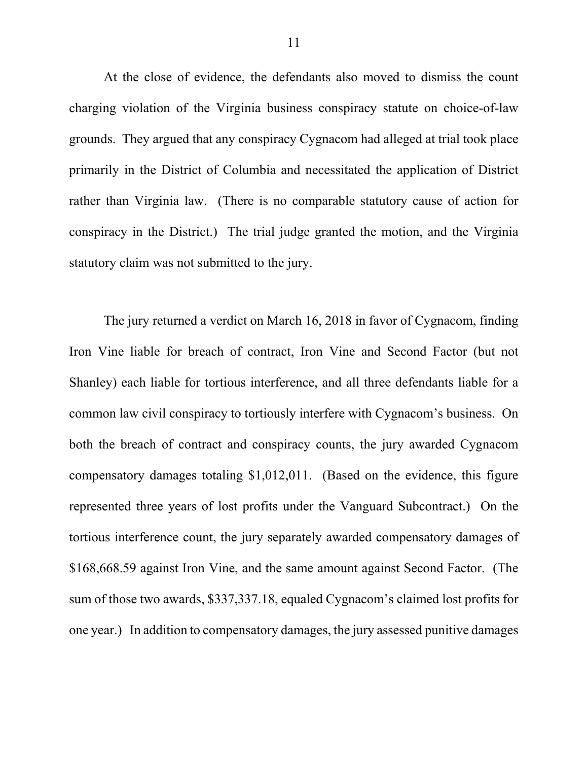At the close of evidence, the defendants also moved to dismiss the count charging violation of the Virginia business conspiracy statute on choice-of-law grounds. They argued that any conspiracy Cygnacom had alleged at trial took place primarily in the District of Columbia and necessitated the application of District rather than Virginia law. (There is no comparable statutory cause of action for conspiracy in the District.) The trial judge granted the motion, and the Virginia statutory claim was not submitted to the jury.

The jury returned a verdict on March 16, 2018 in favor of Cygnacom, finding Iron Vine liable for breach of contract, Iron Vine and Second Factor (but not Shanley) each liable for tortious interference, and all three defendants liable for a common law civil conspiracy to tortiously interfere with Cygnacom's business. On both the breach of contract and conspiracy counts, the jury awarded Cygnacom compensatory damages totaling \$1,012,011. (Based on the evidence, this figure represented three years of lost profits under the Vanguard Subcontract.) On the tortious interference count, the jury separately awarded compensatory damages of \$168,668.59 against Iron Vine, and the same amount against Second Factor. (The sum of those two awards, \$337,337.18, equaled Cygnacom's claimed lost profits for one year.) In addition to compensatory damages, the jury assessed punitive damages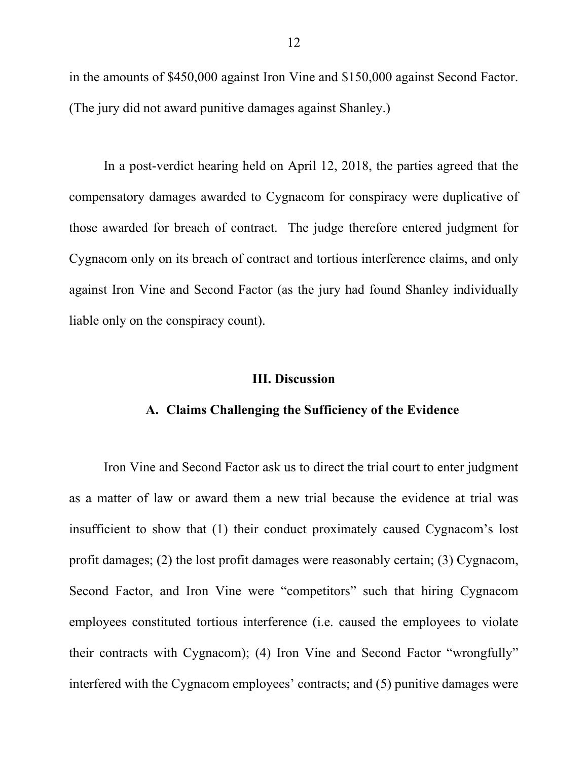in the amounts of \$450,000 against Iron Vine and \$150,000 against Second Factor. (The jury did not award punitive damages against Shanley.)

In a post-verdict hearing held on April 12, 2018, the parties agreed that the compensatory damages awarded to Cygnacom for conspiracy were duplicative of those awarded for breach of contract. The judge therefore entered judgment for Cygnacom only on its breach of contract and tortious interference claims, and only against Iron Vine and Second Factor (as the jury had found Shanley individually liable only on the conspiracy count).

#### **III. Discussion**

### **A. Claims Challenging the Sufficiency of the Evidence**

Iron Vine and Second Factor ask us to direct the trial court to enter judgment as a matter of law or award them a new trial because the evidence at trial was insufficient to show that (1) their conduct proximately caused Cygnacom's lost profit damages; (2) the lost profit damages were reasonably certain; (3) Cygnacom, Second Factor, and Iron Vine were "competitors" such that hiring Cygnacom employees constituted tortious interference (i.e. caused the employees to violate their contracts with Cygnacom); (4) Iron Vine and Second Factor "wrongfully" interfered with the Cygnacom employees' contracts; and (5) punitive damages were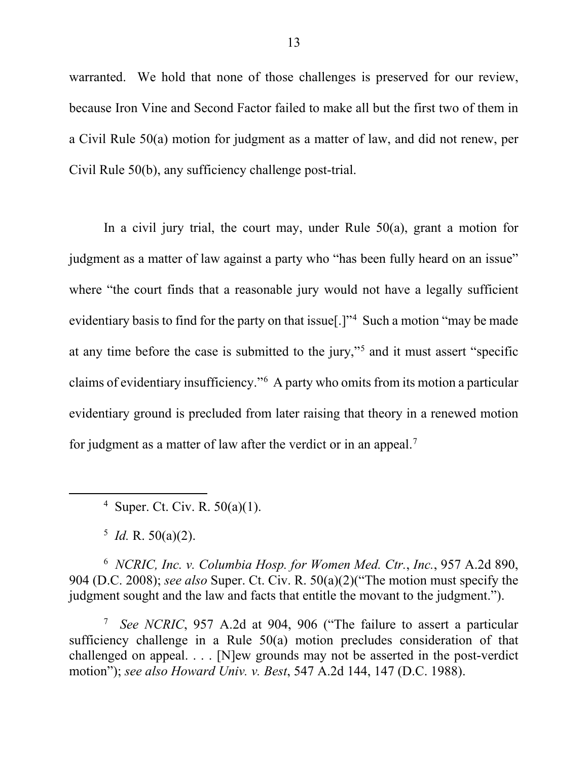warranted. We hold that none of those challenges is preserved for our review, because Iron Vine and Second Factor failed to make all but the first two of them in a Civil Rule 50(a) motion for judgment as a matter of law, and did not renew, per Civil Rule 50(b), any sufficiency challenge post-trial.

In a civil jury trial, the court may, under Rule  $50(a)$ , grant a motion for judgment as a matter of law against a party who "has been fully heard on an issue" where "the court finds that a reasonable jury would not have a legally sufficient evidentiary basis to find for the party on that issue[.]"<sup>4</sup> Such a motion "may be made at any time before the case is submitted to the jury,"5 and it must assert "specific claims of evidentiary insufficiency."<sup>6</sup> A party who omits from its motion a particular evidentiary ground is precluded from later raising that theory in a renewed motion for judgment as a matter of law after the verdict or in an appeal.<sup>7</sup>

<sup>4</sup> Super. Ct. Civ. R.  $50(a)(1)$ .

 $^5$  *Id.* R. 50(a)(2).

l

6 *NCRIC, Inc. v. Columbia Hosp. for Women Med. Ctr.*, *Inc.*, 957 A.2d 890, 904 (D.C. 2008); *see also* Super. Ct. Civ. R. 50(a)(2)("The motion must specify the judgment sought and the law and facts that entitle the movant to the judgment.").

7 *See NCRIC*, 957 A.2d at 904, 906 ("The failure to assert a particular sufficiency challenge in a Rule 50(a) motion precludes consideration of that challenged on appeal. . . . [N]ew grounds may not be asserted in the post-verdict motion"); *see also Howard Univ. v. Best*, 547 A.2d 144, 147 (D.C. 1988).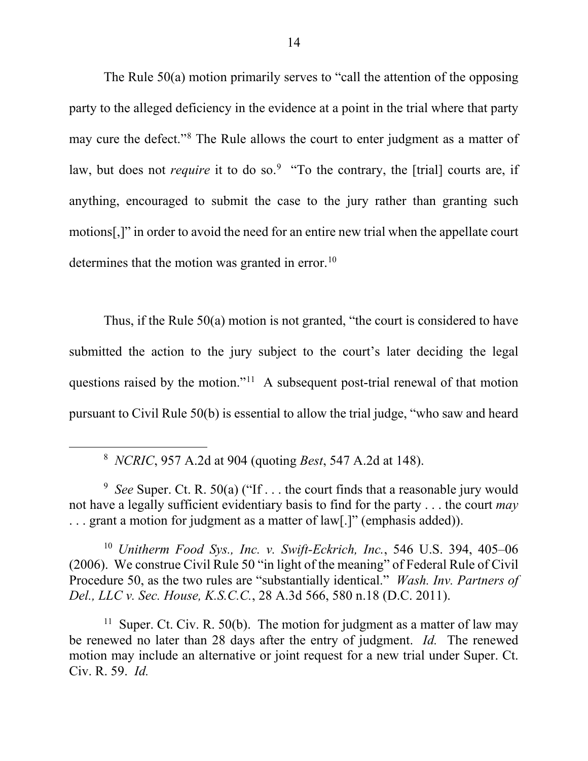The Rule 50(a) motion primarily serves to "call the attention of the opposing party to the alleged deficiency in the evidence at a point in the trial where that party may cure the defect."<sup>8</sup> The Rule allows the court to enter judgment as a matter of law, but does not *require* it to do so.<sup>9</sup> "To the contrary, the [trial] courts are, if anything, encouraged to submit the case to the jury rather than granting such motions[,]" in order to avoid the need for an entire new trial when the appellate court determines that the motion was granted in error.<sup>10</sup>

Thus, if the Rule 50(a) motion is not granted, "the court is considered to have submitted the action to the jury subject to the court's later deciding the legal questions raised by the motion."11 A subsequent post-trial renewal of that motion pursuant to Civil Rule 50(b) is essential to allow the trial judge, "who saw and heard

8 *NCRIC*, 957 A.2d at 904 (quoting *Best*, 547 A.2d at 148).

 $\overline{\phantom{a}}$ 

<sup>10</sup> *Unitherm Food Sys., Inc. v. Swift-Eckrich, Inc.*, 546 U.S. 394, 405–06 (2006). We construe Civil Rule 50 "in light of the meaning" of Federal Rule of Civil Procedure 50, as the two rules are "substantially identical." *Wash. Inv. Partners of Del., LLC v. Sec. House, K.S.C.C.*, 28 A.3d 566, 580 n.18 (D.C. 2011).

<sup>11</sup> Super. Ct. Civ. R. 50(b). The motion for judgment as a matter of law may be renewed no later than 28 days after the entry of judgment. *Id.* The renewed motion may include an alternative or joint request for a new trial under Super. Ct. Civ. R. 59. *Id.*

<sup>&</sup>lt;sup>9</sup> See Super. Ct. R. 50(a) ("If . . . the court finds that a reasonable jury would not have a legally sufficient evidentiary basis to find for the party . . . the court *may* ... grant a motion for judgment as a matter of law[.]" (emphasis added)).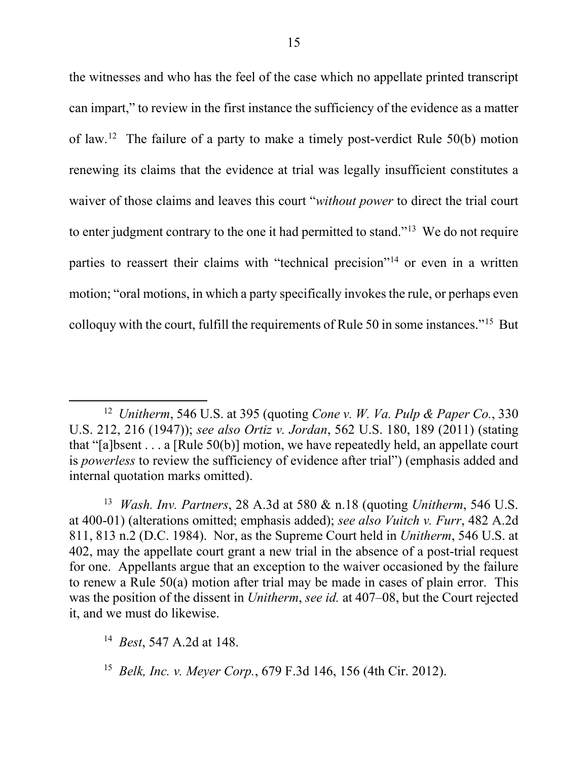the witnesses and who has the feel of the case which no appellate printed transcript can impart," to review in the first instance the sufficiency of the evidence as a matter of law.<sup>12</sup> The failure of a party to make a timely post-verdict Rule 50(b) motion renewing its claims that the evidence at trial was legally insufficient constitutes a waiver of those claims and leaves this court "*without power* to direct the trial court to enter judgment contrary to the one it had permitted to stand."13 We do not require parties to reassert their claims with "technical precision"<sup>14</sup> or even in a written motion; "oral motions, in which a party specifically invokes the rule, or perhaps even colloquy with the court, fulfill the requirements of Rule 50 in some instances."15 But

13 *Wash. Inv. Partners*, 28 A.3d at 580 & n.18 (quoting *Unitherm*, 546 U.S. at 400-01) (alterations omitted; emphasis added); *see also Vuitch v. Furr*, 482 A.2d 811, 813 n.2 (D.C. 1984). Nor, as the Supreme Court held in *Unitherm*, 546 U.S. at 402, may the appellate court grant a new trial in the absence of a post-trial request for one. Appellants argue that an exception to the waiver occasioned by the failure to renew a Rule 50(a) motion after trial may be made in cases of plain error. This was the position of the dissent in *Unitherm*, *see id.* at 407–08, but the Court rejected it, and we must do likewise.

14 *Best*, 547 A.2d at 148.

<sup>12</sup> *Unitherm*, 546 U.S. at 395 (quoting *Cone v. W. Va. Pulp & Paper Co.*, 330 U.S. 212, 216 (1947)); *see also Ortiz v. Jordan*, 562 U.S. 180, 189 (2011) (stating that "[a]bsent . . . a [Rule 50(b)] motion, we have repeatedly held, an appellate court is *powerless* to review the sufficiency of evidence after trial") (emphasis added and internal quotation marks omitted).

<sup>15</sup> *Belk, Inc. v. Meyer Corp.*, 679 F.3d 146, 156 (4th Cir. 2012).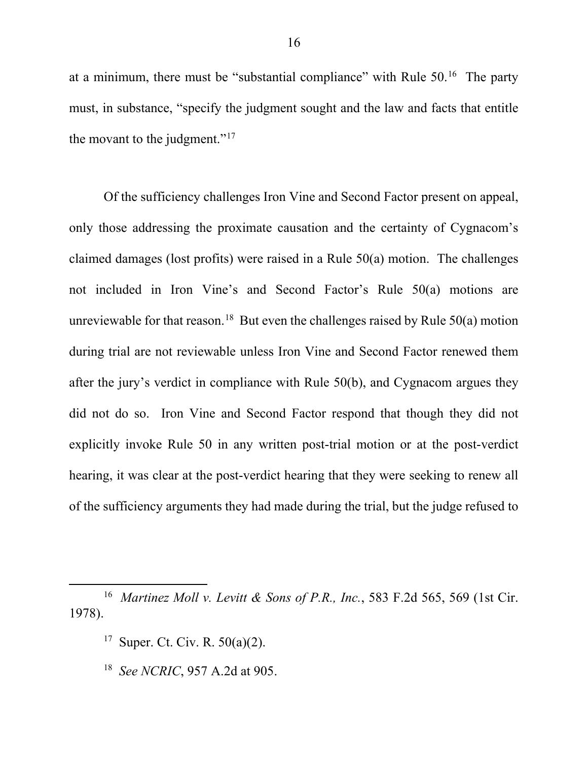at a minimum, there must be "substantial compliance" with Rule 50.16 The party must, in substance, "specify the judgment sought and the law and facts that entitle the movant to the judgment."<sup>17</sup>

Of the sufficiency challenges Iron Vine and Second Factor present on appeal, only those addressing the proximate causation and the certainty of Cygnacom's claimed damages (lost profits) were raised in a Rule 50(a) motion. The challenges not included in Iron Vine's and Second Factor's Rule 50(a) motions are unreviewable for that reason.<sup>18</sup> But even the challenges raised by Rule  $50(a)$  motion during trial are not reviewable unless Iron Vine and Second Factor renewed them after the jury's verdict in compliance with Rule 50(b), and Cygnacom argues they did not do so. Iron Vine and Second Factor respond that though they did not explicitly invoke Rule 50 in any written post-trial motion or at the post-verdict hearing, it was clear at the post-verdict hearing that they were seeking to renew all of the sufficiency arguments they had made during the trial, but the judge refused to

<sup>17</sup> Super. Ct. Civ. R.  $50(a)(2)$ .

l

18 *See NCRIC*, 957 A.2d at 905.

<sup>16</sup> *Martinez Moll v. Levitt & Sons of P.R., Inc.*, 583 F.2d 565, 569 (1st Cir. 1978).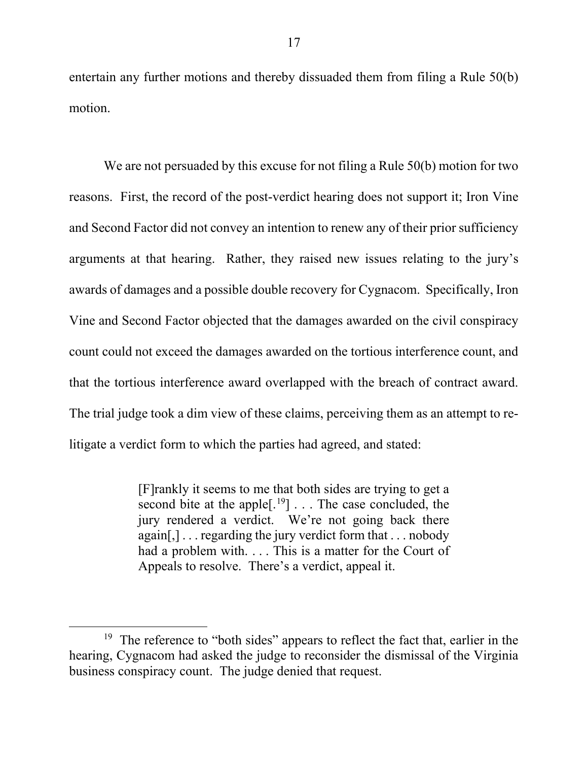entertain any further motions and thereby dissuaded them from filing a Rule 50(b) motion.

We are not persuaded by this excuse for not filing a Rule 50(b) motion for two reasons. First, the record of the post-verdict hearing does not support it; Iron Vine and Second Factor did not convey an intention to renew any of their prior sufficiency arguments at that hearing. Rather, they raised new issues relating to the jury's awards of damages and a possible double recovery for Cygnacom. Specifically, Iron Vine and Second Factor objected that the damages awarded on the civil conspiracy count could not exceed the damages awarded on the tortious interference count, and that the tortious interference award overlapped with the breach of contract award. The trial judge took a dim view of these claims, perceiving them as an attempt to relitigate a verdict form to which the parties had agreed, and stated:

> [F]rankly it seems to me that both sides are trying to get a second bite at the apple $[.]^{19}]$ ... The case concluded, the jury rendered a verdict. We're not going back there again[,] . . . regarding the jury verdict form that . . . nobody had a problem with.... This is a matter for the Court of Appeals to resolve. There's a verdict, appeal it.

 $\overline{a}$ 

<sup>&</sup>lt;sup>19</sup> The reference to "both sides" appears to reflect the fact that, earlier in the hearing, Cygnacom had asked the judge to reconsider the dismissal of the Virginia business conspiracy count. The judge denied that request.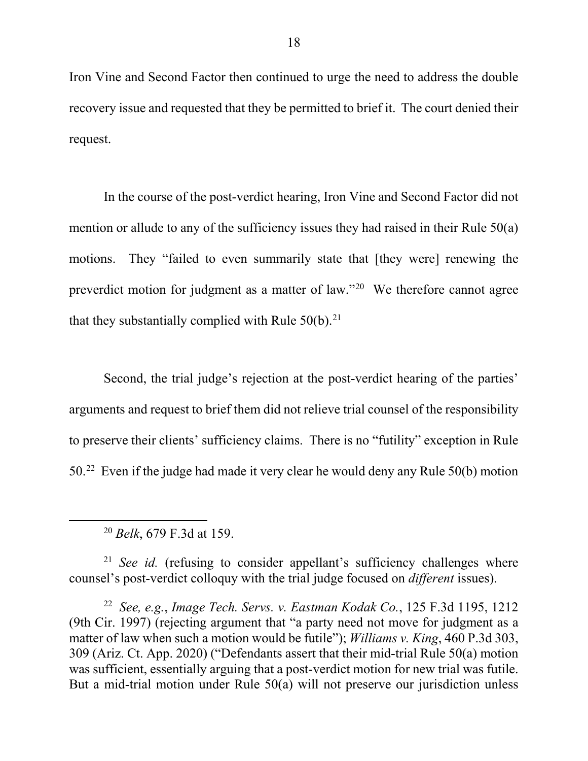Iron Vine and Second Factor then continued to urge the need to address the double recovery issue and requested that they be permitted to brief it. The court denied their request.

In the course of the post-verdict hearing, Iron Vine and Second Factor did not mention or allude to any of the sufficiency issues they had raised in their Rule 50(a) motions. They "failed to even summarily state that [they were] renewing the preverdict motion for judgment as a matter of law."<sup>20</sup> We therefore cannot agree that they substantially complied with Rule  $50(b)$ .<sup>21</sup>

Second, the trial judge's rejection at the post-verdict hearing of the parties' arguments and request to brief them did not relieve trial counsel of the responsibility to preserve their clients' sufficiency claims. There is no "futility" exception in Rule 50.22 Even if the judge had made it very clear he would deny any Rule 50(b) motion

 $\overline{a}$ 

<sup>21</sup> *See id.* (refusing to consider appellant's sufficiency challenges where counsel's post-verdict colloquy with the trial judge focused on *different* issues).

22 *See, e.g.*, *Image Tech. Servs. v. Eastman Kodak Co.*, 125 F.3d 1195, 1212 (9th Cir. 1997) (rejecting argument that "a party need not move for judgment as a matter of law when such a motion would be futile"); *Williams v. King*, 460 P.3d 303, 309 (Ariz. Ct. App. 2020) ("Defendants assert that their mid-trial Rule 50(a) motion was sufficient, essentially arguing that a post-verdict motion for new trial was futile. But a mid-trial motion under Rule 50(a) will not preserve our jurisdiction unless

<sup>20</sup> *Belk*, 679 F.3d at 159.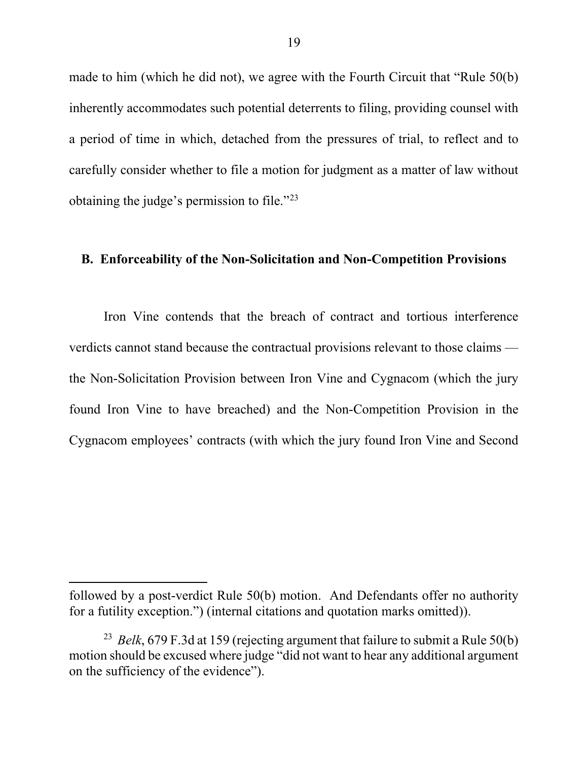made to him (which he did not), we agree with the Fourth Circuit that "Rule 50(b) inherently accommodates such potential deterrents to filing, providing counsel with a period of time in which, detached from the pressures of trial, to reflect and to carefully consider whether to file a motion for judgment as a matter of law without obtaining the judge's permission to file."23

### **B. Enforceability of the Non-Solicitation and Non-Competition Provisions**

Iron Vine contends that the breach of contract and tortious interference verdicts cannot stand because the contractual provisions relevant to those claims the Non-Solicitation Provision between Iron Vine and Cygnacom (which the jury found Iron Vine to have breached) and the Non-Competition Provision in the Cygnacom employees' contracts (with which the jury found Iron Vine and Second

followed by a post-verdict Rule 50(b) motion. And Defendants offer no authority for a futility exception.") (internal citations and quotation marks omitted)).

<sup>23</sup> *Belk*, 679 F.3d at 159 (rejecting argument that failure to submit a Rule 50(b) motion should be excused where judge "did not want to hear any additional argument on the sufficiency of the evidence").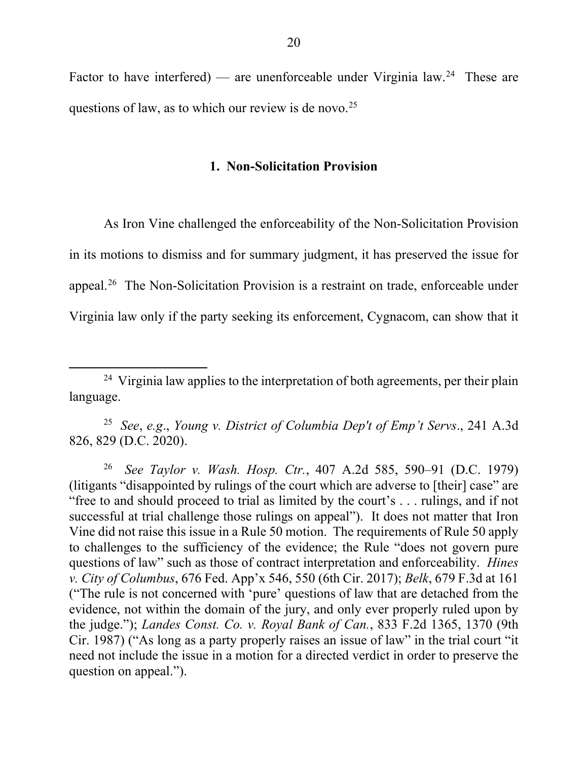Factor to have interfered) — are unenforceable under Virginia law.<sup>24</sup> These are questions of law, as to which our review is de novo.<sup>25</sup>

### **1. Non-Solicitation Provision**

As Iron Vine challenged the enforceability of the Non-Solicitation Provision in its motions to dismiss and for summary judgment, it has preserved the issue for appeal.26 The Non-Solicitation Provision is a restraint on trade, enforceable under Virginia law only if the party seeking its enforcement, Cygnacom, can show that it

l

25 *See*, *e.g*., *Young v. District of Columbia Dep't of Emp't Servs*., 241 A.3d 826, 829 (D.C. 2020).

26 *See Taylor v. Wash. Hosp. Ctr.*, 407 A.2d 585, 590–91 (D.C. 1979) (litigants "disappointed by rulings of the court which are adverse to [their] case" are "free to and should proceed to trial as limited by the court's . . . rulings, and if not successful at trial challenge those rulings on appeal"). It does not matter that Iron Vine did not raise this issue in a Rule 50 motion. The requirements of Rule 50 apply to challenges to the sufficiency of the evidence; the Rule "does not govern pure questions of law" such as those of contract interpretation and enforceability. *Hines v. City of Columbus*, 676 Fed. App'x 546, 550 (6th Cir. 2017); *Belk*, 679 F.3d at 161 ("The rule is not concerned with 'pure' questions of law that are detached from the evidence, not within the domain of the jury, and only ever properly ruled upon by the judge."); *Landes Const. Co. v. Royal Bank of Can.*, 833 F.2d 1365, 1370 (9th Cir. 1987) ("As long as a party properly raises an issue of law" in the trial court "it need not include the issue in a motion for a directed verdict in order to preserve the question on appeal.").

<sup>&</sup>lt;sup>24</sup> Virginia law applies to the interpretation of both agreements, per their plain language.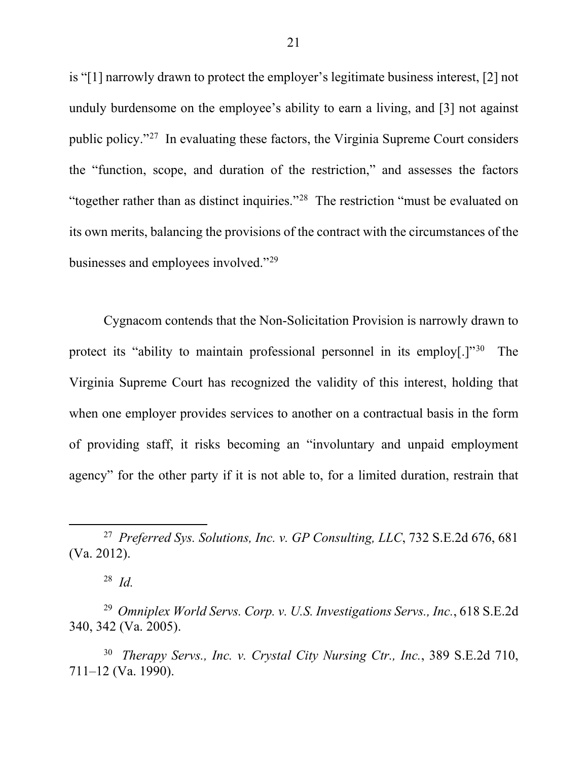is "[1] narrowly drawn to protect the employer's legitimate business interest, [2] not unduly burdensome on the employee's ability to earn a living, and [3] not against public policy."27 In evaluating these factors, the Virginia Supreme Court considers the "function, scope, and duration of the restriction," and assesses the factors "together rather than as distinct inquiries."28 The restriction "must be evaluated on its own merits, balancing the provisions of the contract with the circumstances of the businesses and employees involved."29

Cygnacom contends that the Non-Solicitation Provision is narrowly drawn to protect its "ability to maintain professional personnel in its employ[.]"<sup>30</sup> The Virginia Supreme Court has recognized the validity of this interest, holding that when one employer provides services to another on a contractual basis in the form of providing staff, it risks becoming an "involuntary and unpaid employment agency" for the other party if it is not able to, for a limited duration, restrain that

l

<sup>27</sup> *Preferred Sys. Solutions, Inc. v. GP Consulting, LLC*, 732 S.E.2d 676, 681 (Va. 2012).

<sup>28</sup> *Id.*

<sup>29</sup> *Omniplex World Servs. Corp. v. U.S. Investigations Servs., Inc.*, 618 S.E.2d 340, 342 (Va. 2005).

<sup>30</sup> *Therapy Servs., Inc. v. Crystal City Nursing Ctr., Inc.*, 389 S.E.2d 710, 711–12 (Va. 1990).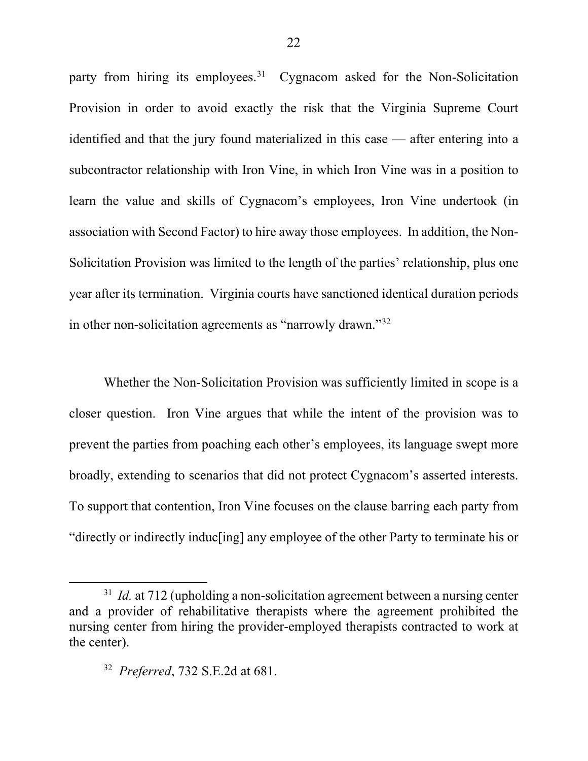party from hiring its employees.<sup>31</sup> Cygnacom asked for the Non-Solicitation Provision in order to avoid exactly the risk that the Virginia Supreme Court identified and that the jury found materialized in this case — after entering into a subcontractor relationship with Iron Vine, in which Iron Vine was in a position to learn the value and skills of Cygnacom's employees, Iron Vine undertook (in association with Second Factor) to hire away those employees. In addition, the Non-Solicitation Provision was limited to the length of the parties' relationship, plus one year after its termination. Virginia courts have sanctioned identical duration periods in other non-solicitation agreements as "narrowly drawn."32

Whether the Non-Solicitation Provision was sufficiently limited in scope is a closer question. Iron Vine argues that while the intent of the provision was to prevent the parties from poaching each other's employees, its language swept more broadly, extending to scenarios that did not protect Cygnacom's asserted interests. To support that contention, Iron Vine focuses on the clause barring each party from "directly or indirectly induc[ing] any employee of the other Party to terminate his or

<sup>&</sup>lt;sup>31</sup> *Id.* at 712 (upholding a non-solicitation agreement between a nursing center and a provider of rehabilitative therapists where the agreement prohibited the nursing center from hiring the provider-employed therapists contracted to work at the center).

<sup>32</sup> *Preferred*, 732 S.E.2d at 681.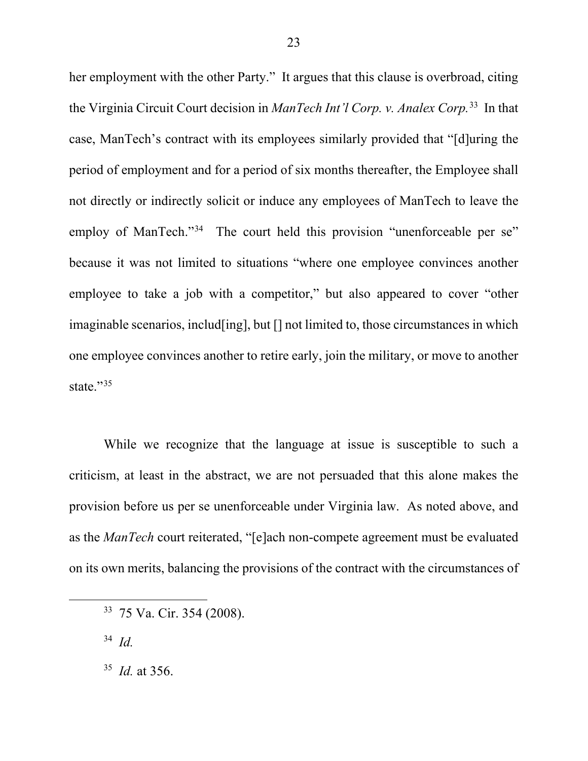her employment with the other Party." It argues that this clause is overbroad, citing the Virginia Circuit Court decision in *ManTech Int'l Corp. v. Analex Corp.*33 In that case, ManTech's contract with its employees similarly provided that "[d]uring the period of employment and for a period of six months thereafter, the Employee shall not directly or indirectly solicit or induce any employees of ManTech to leave the employ of ManTech."<sup>34</sup> The court held this provision "unenforceable per se" because it was not limited to situations "where one employee convinces another employee to take a job with a competitor," but also appeared to cover "other imaginable scenarios, includ[ing], but [] not limited to, those circumstances in which one employee convinces another to retire early, join the military, or move to another state."<sup>35</sup>

While we recognize that the language at issue is susceptible to such a criticism, at least in the abstract, we are not persuaded that this alone makes the provision before us per se unenforceable under Virginia law. As noted above, and as the *ManTech* court reiterated, "[e]ach non-compete agreement must be evaluated on its own merits, balancing the provisions of the contract with the circumstances of

34 *Id.*

l

<sup>33 75</sup> Va. Cir. 354 (2008).

<sup>35</sup> *Id.* at 356.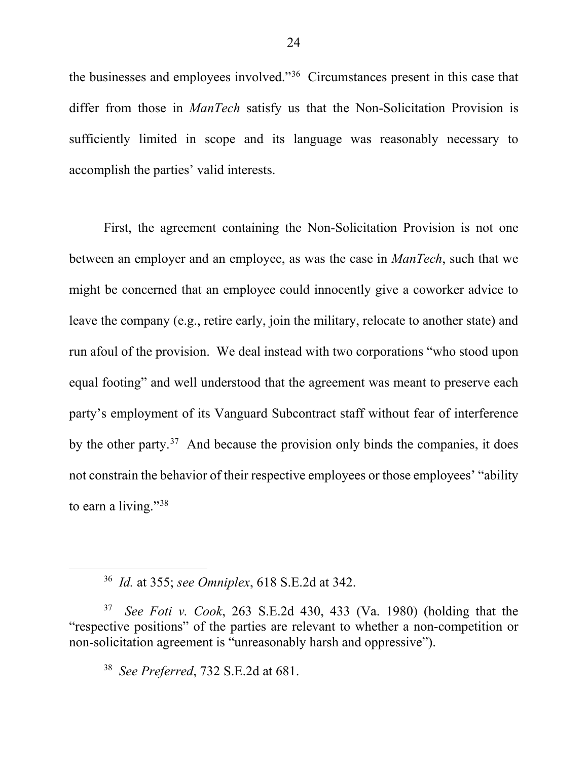the businesses and employees involved."36 Circumstances present in this case that differ from those in *ManTech* satisfy us that the Non-Solicitation Provision is sufficiently limited in scope and its language was reasonably necessary to accomplish the parties' valid interests.

First, the agreement containing the Non-Solicitation Provision is not one between an employer and an employee, as was the case in *ManTech*, such that we might be concerned that an employee could innocently give a coworker advice to leave the company (e.g., retire early, join the military, relocate to another state) and run afoul of the provision. We deal instead with two corporations "who stood upon equal footing" and well understood that the agreement was meant to preserve each party's employment of its Vanguard Subcontract staff without fear of interference by the other party.<sup>37</sup> And because the provision only binds the companies, it does not constrain the behavior of their respective employees or those employees' "ability to earn a living."<sup>38</sup>

l

<sup>36</sup> *Id.* at 355; *see Omniplex*, 618 S.E.2d at 342.

<sup>37</sup> *See Foti v. Cook*, 263 S.E.2d 430, 433 (Va. 1980) (holding that the "respective positions" of the parties are relevant to whether a non-competition or non-solicitation agreement is "unreasonably harsh and oppressive").

<sup>38</sup> *See Preferred*, 732 S.E.2d at 681.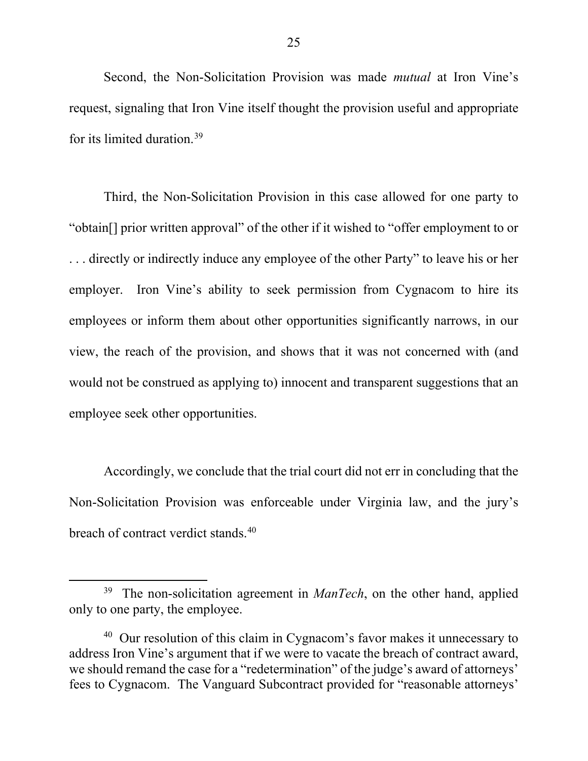Second, the Non-Solicitation Provision was made *mutual* at Iron Vine's request, signaling that Iron Vine itself thought the provision useful and appropriate for its limited duration.39

Third, the Non-Solicitation Provision in this case allowed for one party to "obtain[] prior written approval" of the other if it wished to "offer employment to or . . . directly or indirectly induce any employee of the other Party" to leave his or her employer. Iron Vine's ability to seek permission from Cygnacom to hire its employees or inform them about other opportunities significantly narrows, in our view, the reach of the provision, and shows that it was not concerned with (and would not be construed as applying to) innocent and transparent suggestions that an employee seek other opportunities.

Accordingly, we conclude that the trial court did not err in concluding that the Non-Solicitation Provision was enforceable under Virginia law, and the jury's breach of contract verdict stands.<sup>40</sup>

 $\overline{a}$ 

<sup>&</sup>lt;sup>39</sup> The non-solicitation agreement in *ManTech*, on the other hand, applied only to one party, the employee.

 $40$  Our resolution of this claim in Cygnacom's favor makes it unnecessary to address Iron Vine's argument that if we were to vacate the breach of contract award, we should remand the case for a "redetermination" of the judge's award of attorneys' fees to Cygnacom. The Vanguard Subcontract provided for "reasonable attorneys'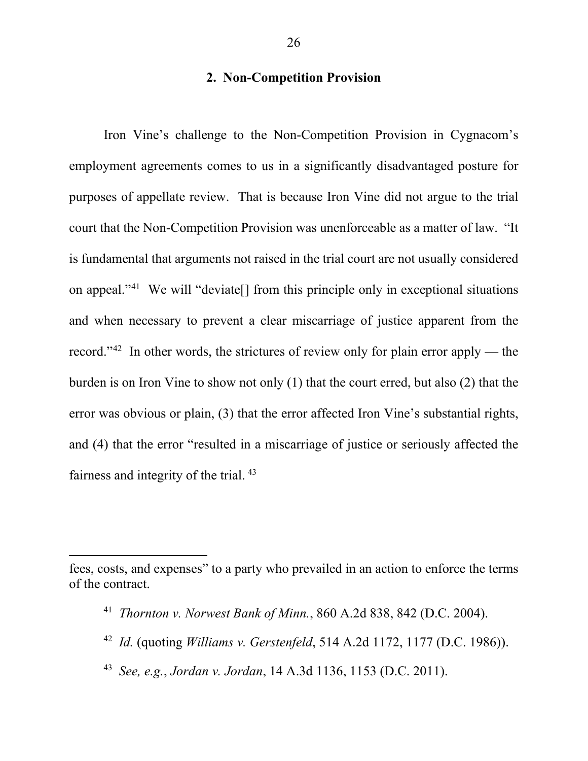# **2. Non-Competition Provision**

Iron Vine's challenge to the Non-Competition Provision in Cygnacom's employment agreements comes to us in a significantly disadvantaged posture for purposes of appellate review. That is because Iron Vine did not argue to the trial court that the Non-Competition Provision was unenforceable as a matter of law. "It is fundamental that arguments not raised in the trial court are not usually considered on appeal."41 We will "deviate[] from this principle only in exceptional situations and when necessary to prevent a clear miscarriage of justice apparent from the record."<sup>42</sup> In other words, the strictures of review only for plain error apply — the burden is on Iron Vine to show not only (1) that the court erred, but also (2) that the error was obvious or plain, (3) that the error affected Iron Vine's substantial rights, and (4) that the error "resulted in a miscarriage of justice or seriously affected the fairness and integrity of the trial. <sup>43</sup>

 $\overline{a}$ 

- 42 *Id.* (quoting *Williams v. Gerstenfeld*, 514 A.2d 1172, 1177 (D.C. 1986)).
- 43 *See, e.g.*, *Jordan v. Jordan*, 14 A.3d 1136, 1153 (D.C. 2011).

fees, costs, and expenses" to a party who prevailed in an action to enforce the terms of the contract.

<sup>41</sup> *Thornton v. Norwest Bank of Minn.*, 860 A.2d 838, 842 (D.C. 2004).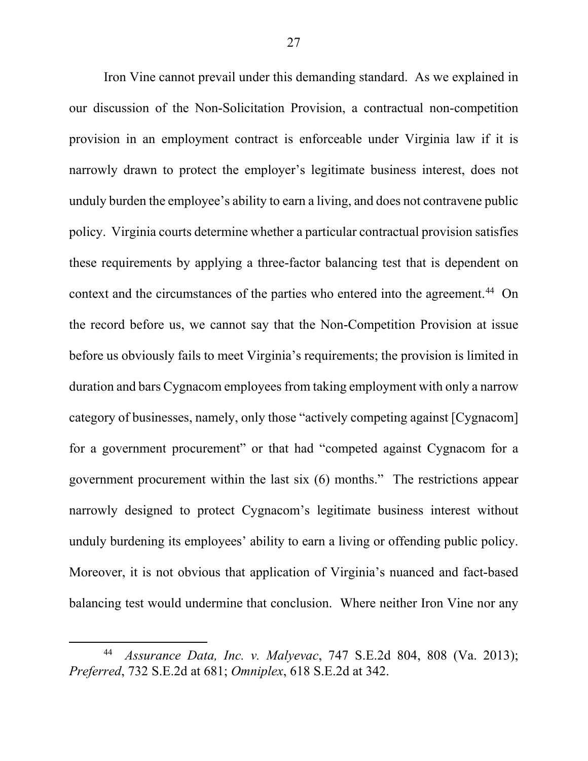Iron Vine cannot prevail under this demanding standard. As we explained in our discussion of the Non-Solicitation Provision, a contractual non-competition provision in an employment contract is enforceable under Virginia law if it is narrowly drawn to protect the employer's legitimate business interest, does not unduly burden the employee's ability to earn a living, and does not contravene public policy. Virginia courts determine whether a particular contractual provision satisfies these requirements by applying a three-factor balancing test that is dependent on context and the circumstances of the parties who entered into the agreement.<sup>44</sup> On the record before us, we cannot say that the Non-Competition Provision at issue before us obviously fails to meet Virginia's requirements; the provision is limited in duration and bars Cygnacom employees from taking employment with only a narrow category of businesses, namely, only those "actively competing against [Cygnacom] for a government procurement" or that had "competed against Cygnacom for a government procurement within the last six (6) months." The restrictions appear narrowly designed to protect Cygnacom's legitimate business interest without unduly burdening its employees' ability to earn a living or offending public policy. Moreover, it is not obvious that application of Virginia's nuanced and fact-based balancing test would undermine that conclusion. Where neither Iron Vine nor any

<sup>44</sup> *Assurance Data, Inc. v. Malyevac*, 747 S.E.2d 804, 808 (Va. 2013); *Preferred*, 732 S.E.2d at 681; *Omniplex*, 618 S.E.2d at 342.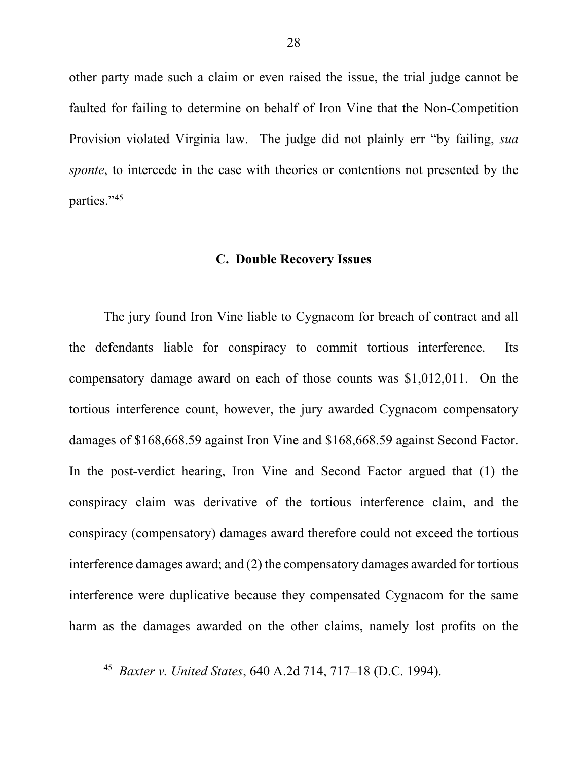other party made such a claim or even raised the issue, the trial judge cannot be faulted for failing to determine on behalf of Iron Vine that the Non-Competition Provision violated Virginia law. The judge did not plainly err "by failing, *sua sponte*, to intercede in the case with theories or contentions not presented by the parties."45

### **C. Double Recovery Issues**

The jury found Iron Vine liable to Cygnacom for breach of contract and all the defendants liable for conspiracy to commit tortious interference. Its compensatory damage award on each of those counts was \$1,012,011. On the tortious interference count, however, the jury awarded Cygnacom compensatory damages of \$168,668.59 against Iron Vine and \$168,668.59 against Second Factor. In the post-verdict hearing, Iron Vine and Second Factor argued that (1) the conspiracy claim was derivative of the tortious interference claim, and the conspiracy (compensatory) damages award therefore could not exceed the tortious interference damages award; and (2) the compensatory damages awarded for tortious interference were duplicative because they compensated Cygnacom for the same harm as the damages awarded on the other claims, namely lost profits on the

<sup>45</sup> *Baxter v. United States*, 640 A.2d 714, 717–18 (D.C. 1994).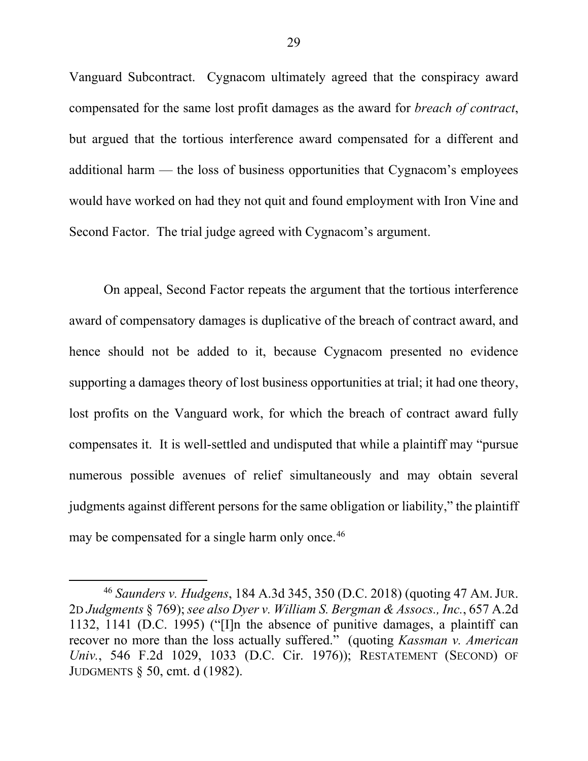Vanguard Subcontract. Cygnacom ultimately agreed that the conspiracy award compensated for the same lost profit damages as the award for *breach of contract*, but argued that the tortious interference award compensated for a different and additional harm — the loss of business opportunities that Cygnacom's employees would have worked on had they not quit and found employment with Iron Vine and Second Factor. The trial judge agreed with Cygnacom's argument.

On appeal, Second Factor repeats the argument that the tortious interference award of compensatory damages is duplicative of the breach of contract award, and hence should not be added to it, because Cygnacom presented no evidence supporting a damages theory of lost business opportunities at trial; it had one theory, lost profits on the Vanguard work, for which the breach of contract award fully compensates it. It is well-settled and undisputed that while a plaintiff may "pursue numerous possible avenues of relief simultaneously and may obtain several judgments against different persons for the same obligation or liability," the plaintiff may be compensated for a single harm only once.<sup>46</sup>

 $\overline{a}$ 

<sup>46</sup> *Saunders v. Hudgens*, 184 A.3d 345, 350 (D.C. 2018) (quoting 47 AM.JUR. 2D *Judgments* § 769);*see also Dyer v. William S. Bergman & Assocs., Inc.*, 657 A.2d 1132, 1141 (D.C. 1995) ("[I]n the absence of punitive damages, a plaintiff can recover no more than the loss actually suffered." (quoting *Kassman v. American Univ.*, 546 F.2d 1029, 1033 (D.C. Cir. 1976)); RESTATEMENT (SECOND) OF JUDGMENTS § 50, cmt. d (1982).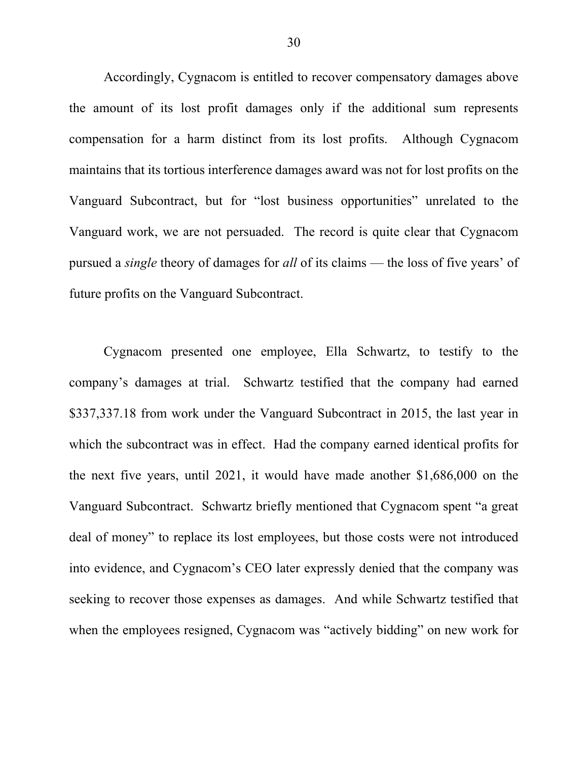Accordingly, Cygnacom is entitled to recover compensatory damages above the amount of its lost profit damages only if the additional sum represents compensation for a harm distinct from its lost profits. Although Cygnacom maintains that its tortious interference damages award was not for lost profits on the Vanguard Subcontract, but for "lost business opportunities" unrelated to the Vanguard work, we are not persuaded. The record is quite clear that Cygnacom pursued a *single* theory of damages for *all* of its claims — the loss of five years' of future profits on the Vanguard Subcontract.

Cygnacom presented one employee, Ella Schwartz, to testify to the company's damages at trial. Schwartz testified that the company had earned \$337,337.18 from work under the Vanguard Subcontract in 2015, the last year in which the subcontract was in effect. Had the company earned identical profits for the next five years, until 2021, it would have made another \$1,686,000 on the Vanguard Subcontract. Schwartz briefly mentioned that Cygnacom spent "a great deal of money" to replace its lost employees, but those costs were not introduced into evidence, and Cygnacom's CEO later expressly denied that the company was seeking to recover those expenses as damages. And while Schwartz testified that when the employees resigned, Cygnacom was "actively bidding" on new work for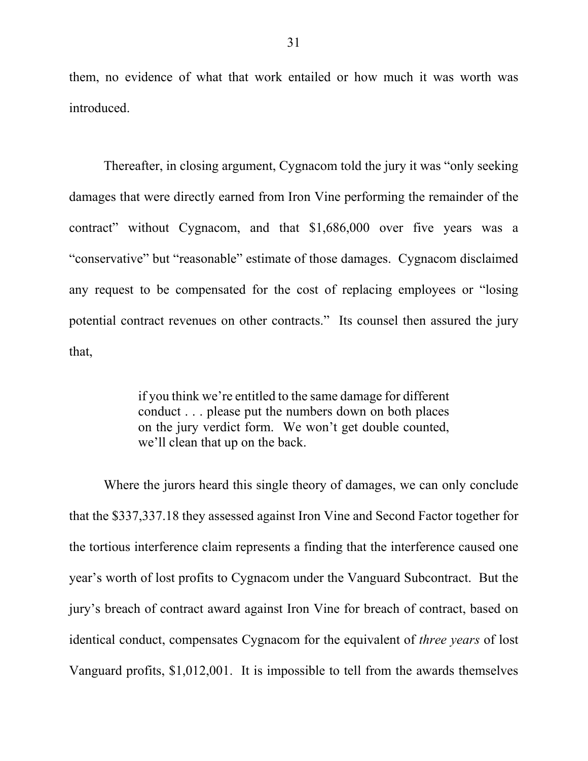them, no evidence of what that work entailed or how much it was worth was introduced.

Thereafter, in closing argument, Cygnacom told the jury it was "only seeking damages that were directly earned from Iron Vine performing the remainder of the contract" without Cygnacom, and that \$1,686,000 over five years was a "conservative" but "reasonable" estimate of those damages. Cygnacom disclaimed any request to be compensated for the cost of replacing employees or "losing potential contract revenues on other contracts." Its counsel then assured the jury that,

> if you think we're entitled to the same damage for different conduct . . . please put the numbers down on both places on the jury verdict form. We won't get double counted, we'll clean that up on the back.

Where the jurors heard this single theory of damages, we can only conclude that the \$337,337.18 they assessed against Iron Vine and Second Factor together for the tortious interference claim represents a finding that the interference caused one year's worth of lost profits to Cygnacom under the Vanguard Subcontract. But the jury's breach of contract award against Iron Vine for breach of contract, based on identical conduct, compensates Cygnacom for the equivalent of *three years* of lost Vanguard profits, \$1,012,001. It is impossible to tell from the awards themselves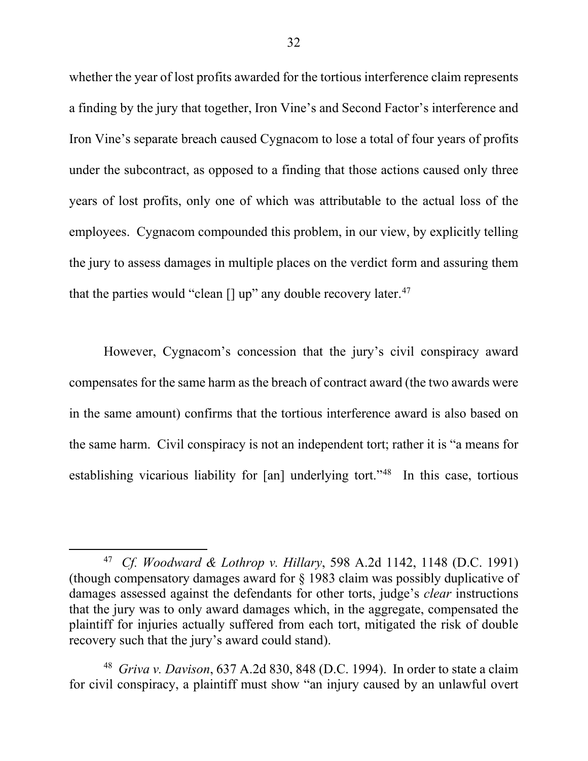whether the year of lost profits awarded for the tortious interference claim represents a finding by the jury that together, Iron Vine's and Second Factor's interference and Iron Vine's separate breach caused Cygnacom to lose a total of four years of profits under the subcontract, as opposed to a finding that those actions caused only three years of lost profits, only one of which was attributable to the actual loss of the employees. Cygnacom compounded this problem, in our view, by explicitly telling the jury to assess damages in multiple places on the verdict form and assuring them that the parties would "clean  $\left[\right]$  up" any double recovery later.<sup>47</sup>

However, Cygnacom's concession that the jury's civil conspiracy award compensates for the same harm as the breach of contract award (the two awards were in the same amount) confirms that the tortious interference award is also based on the same harm. Civil conspiracy is not an independent tort; rather it is "a means for establishing vicarious liability for [an] underlying tort."48 In this case, tortious

l

<sup>47</sup> *Cf. Woodward & Lothrop v. Hillary*, 598 A.2d 1142, 1148 (D.C. 1991) (though compensatory damages award for § 1983 claim was possibly duplicative of damages assessed against the defendants for other torts, judge's *clear* instructions that the jury was to only award damages which, in the aggregate, compensated the plaintiff for injuries actually suffered from each tort, mitigated the risk of double recovery such that the jury's award could stand).

<sup>48</sup> *Griva v. Davison*, 637 A.2d 830, 848 (D.C. 1994). In order to state a claim for civil conspiracy, a plaintiff must show "an injury caused by an unlawful overt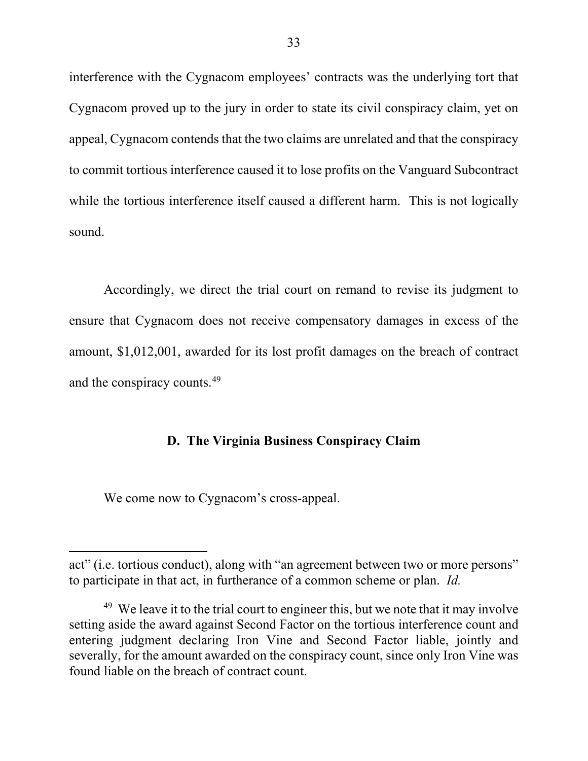interference with the Cygnacom employees' contracts was the underlying tort that Cygnacom proved up to the jury in order to state its civil conspiracy claim, yet on appeal, Cygnacom contends that the two claims are unrelated and that the conspiracy to commit tortious interference caused it to lose profits on the Vanguard Subcontract while the tortious interference itself caused a different harm. This is not logically sound.

Accordingly, we direct the trial court on remand to revise its judgment to ensure that Cygnacom does not receive compensatory damages in excess of the amount, \$1,012,001, awarded for its lost profit damages on the breach of contract and the conspiracy counts.49

## **D. The Virginia Business Conspiracy Claim**

We come now to Cygnacom's cross-appeal.

act" (i.e. tortious conduct), along with "an agreement between two or more persons" to participate in that act, in furtherance of a common scheme or plan. *Id.*

 $49$  We leave it to the trial court to engineer this, but we note that it may involve setting aside the award against Second Factor on the tortious interference count and entering judgment declaring Iron Vine and Second Factor liable, jointly and severally, for the amount awarded on the conspiracy count, since only Iron Vine was found liable on the breach of contract count.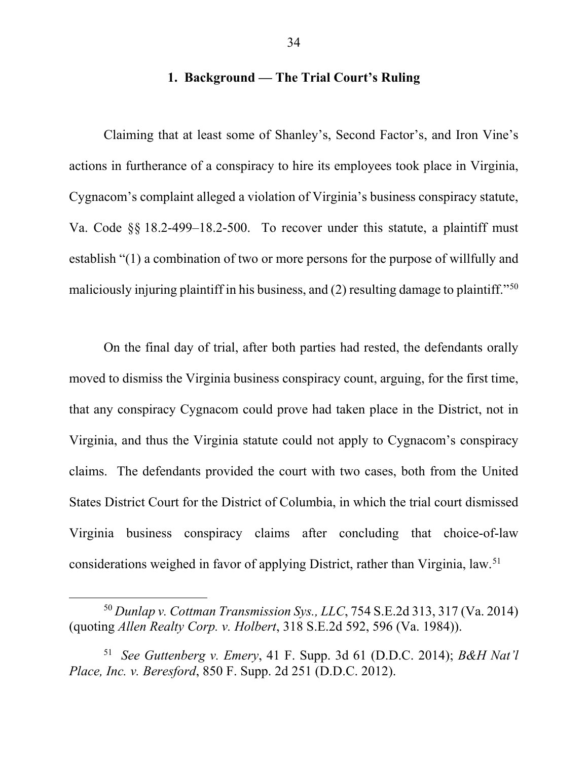## **1. Background — The Trial Court's Ruling**

Claiming that at least some of Shanley's, Second Factor's, and Iron Vine's actions in furtherance of a conspiracy to hire its employees took place in Virginia, Cygnacom's complaint alleged a violation of Virginia's business conspiracy statute, Va. Code §§ 18.2-499–18.2-500. To recover under this statute, a plaintiff must establish "(1) a combination of two or more persons for the purpose of willfully and maliciously injuring plaintiff in his business, and (2) resulting damage to plaintiff."<sup>50</sup>

On the final day of trial, after both parties had rested, the defendants orally moved to dismiss the Virginia business conspiracy count, arguing, for the first time, that any conspiracy Cygnacom could prove had taken place in the District, not in Virginia, and thus the Virginia statute could not apply to Cygnacom's conspiracy claims. The defendants provided the court with two cases, both from the United States District Court for the District of Columbia, in which the trial court dismissed Virginia business conspiracy claims after concluding that choice-of-law considerations weighed in favor of applying District, rather than Virginia, law.51

<sup>50</sup> *Dunlap v. Cottman Transmission Sys., LLC*, 754 S.E.2d 313, 317 (Va. 2014) (quoting *Allen Realty Corp. v. Holbert*, 318 S.E.2d 592, 596 (Va. 1984)).

<sup>51</sup> *See Guttenberg v. Emery*, 41 F. Supp. 3d 61 (D.D.C. 2014); *B&H Nat'l Place, Inc. v. Beresford*, 850 F. Supp. 2d 251 (D.D.C. 2012).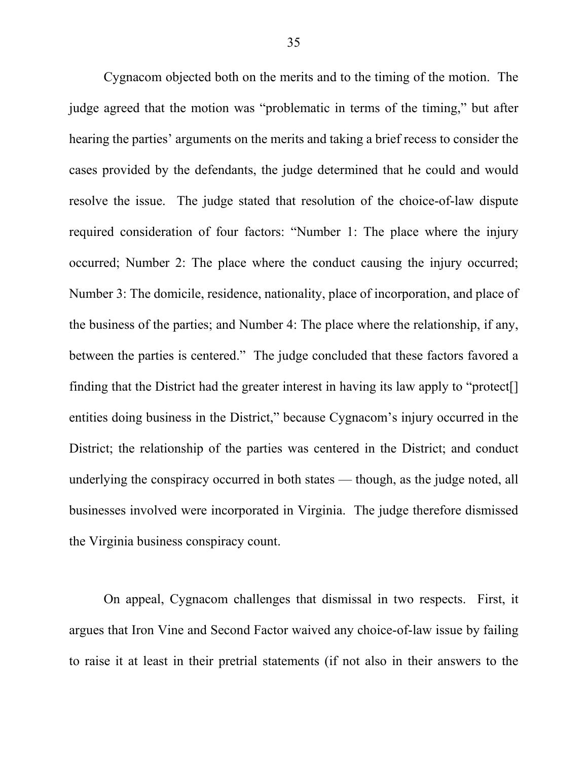Cygnacom objected both on the merits and to the timing of the motion. The judge agreed that the motion was "problematic in terms of the timing," but after hearing the parties' arguments on the merits and taking a brief recess to consider the cases provided by the defendants, the judge determined that he could and would resolve the issue. The judge stated that resolution of the choice-of-law dispute required consideration of four factors: "Number 1: The place where the injury occurred; Number 2: The place where the conduct causing the injury occurred; Number 3: The domicile, residence, nationality, place of incorporation, and place of the business of the parties; and Number 4: The place where the relationship, if any, between the parties is centered." The judge concluded that these factors favored a finding that the District had the greater interest in having its law apply to "protect[] entities doing business in the District," because Cygnacom's injury occurred in the District; the relationship of the parties was centered in the District; and conduct underlying the conspiracy occurred in both states — though, as the judge noted, all businesses involved were incorporated in Virginia. The judge therefore dismissed the Virginia business conspiracy count.

On appeal, Cygnacom challenges that dismissal in two respects. First, it argues that Iron Vine and Second Factor waived any choice-of-law issue by failing to raise it at least in their pretrial statements (if not also in their answers to the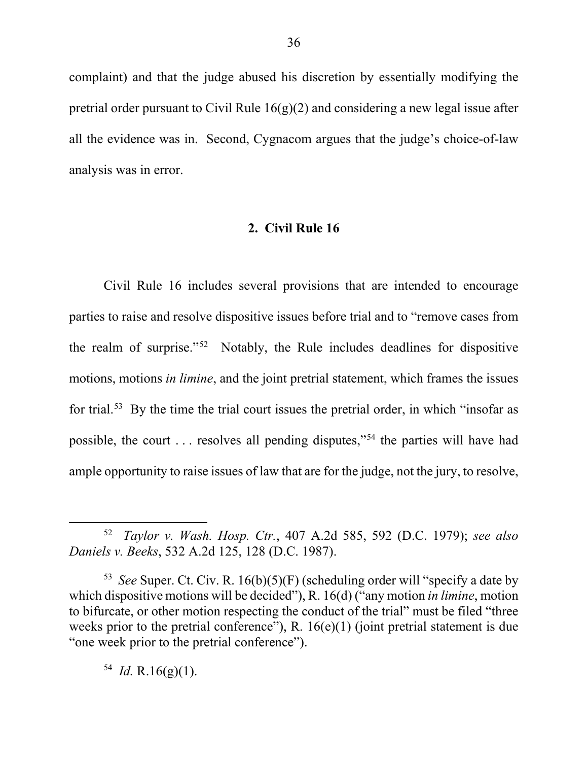complaint) and that the judge abused his discretion by essentially modifying the pretrial order pursuant to Civil Rule  $16(g)(2)$  and considering a new legal issue after all the evidence was in. Second, Cygnacom argues that the judge's choice-of-law analysis was in error.

### **2. Civil Rule 16**

Civil Rule 16 includes several provisions that are intended to encourage parties to raise and resolve dispositive issues before trial and to "remove cases from the realm of surprise."52 Notably, the Rule includes deadlines for dispositive motions, motions *in limine*, and the joint pretrial statement, which frames the issues for trial.<sup>53</sup> By the time the trial court issues the pretrial order, in which "insofar as possible, the court . . . resolves all pending disputes,"54 the parties will have had ample opportunity to raise issues of law that are for the judge, not the jury, to resolve,

<sup>52</sup> *Taylor v. Wash. Hosp. Ctr.*, 407 A.2d 585, 592 (D.C. 1979); *see also Daniels v. Beeks*, 532 A.2d 125, 128 (D.C. 1987).

<sup>53</sup> *See* Super. Ct. Civ. R. 16(b)(5)(F) (scheduling order will "specify a date by which dispositive motions will be decided"), R. 16(d) ("any motion *in limine*, motion to bifurcate, or other motion respecting the conduct of the trial" must be filed "three weeks prior to the pretrial conference"), R.  $16(e)(1)$  (joint pretrial statement is due "one week prior to the pretrial conference").

 $^{54}$  *Id.* R.16(g)(1).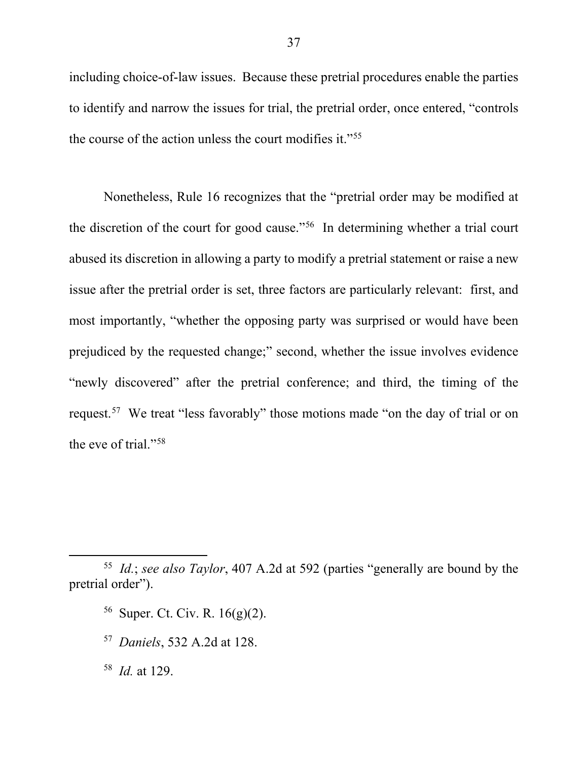including choice-of-law issues. Because these pretrial procedures enable the parties to identify and narrow the issues for trial, the pretrial order, once entered, "controls the course of the action unless the court modifies it."55

Nonetheless, Rule 16 recognizes that the "pretrial order may be modified at the discretion of the court for good cause."56 In determining whether a trial court abused its discretion in allowing a party to modify a pretrial statement or raise a new issue after the pretrial order is set, three factors are particularly relevant: first, and most importantly, "whether the opposing party was surprised or would have been prejudiced by the requested change;" second, whether the issue involves evidence "newly discovered" after the pretrial conference; and third, the timing of the request.57 We treat "less favorably" those motions made "on the day of trial or on the eve of trial."58

 $\overline{a}$ 

<sup>55</sup> *Id.*; *see also Taylor*, 407 A.2d at 592 (parties "generally are bound by the pretrial order").

<sup>&</sup>lt;sup>56</sup> Super. Ct. Civ. R.  $16(g)(2)$ .

<sup>57</sup> *Daniels*, 532 A.2d at 128.

<sup>58</sup> *Id.* at 129.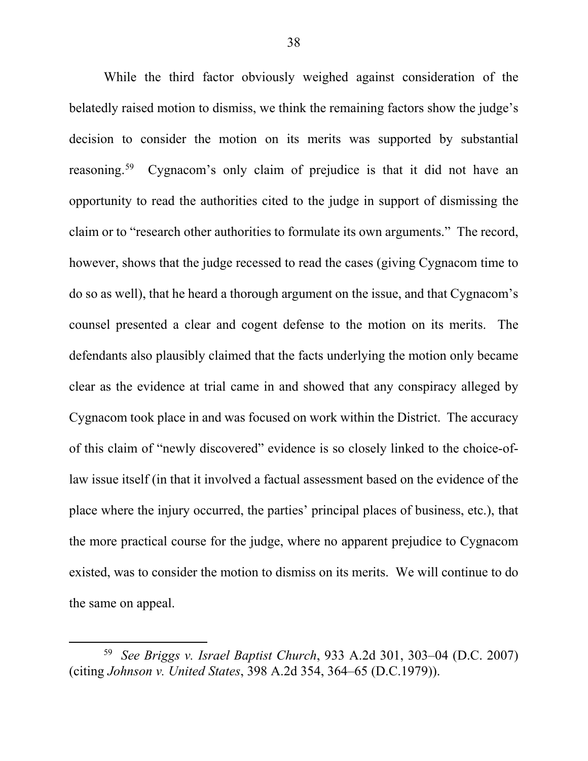While the third factor obviously weighed against consideration of the belatedly raised motion to dismiss, we think the remaining factors show the judge's decision to consider the motion on its merits was supported by substantial reasoning.<sup>59</sup> Cygnacom's only claim of prejudice is that it did not have an opportunity to read the authorities cited to the judge in support of dismissing the claim or to "research other authorities to formulate its own arguments." The record, however, shows that the judge recessed to read the cases (giving Cygnacom time to do so as well), that he heard a thorough argument on the issue, and that Cygnacom's counsel presented a clear and cogent defense to the motion on its merits. The defendants also plausibly claimed that the facts underlying the motion only became clear as the evidence at trial came in and showed that any conspiracy alleged by Cygnacom took place in and was focused on work within the District. The accuracy of this claim of "newly discovered" evidence is so closely linked to the choice-oflaw issue itself (in that it involved a factual assessment based on the evidence of the place where the injury occurred, the parties' principal places of business, etc.), that the more practical course for the judge, where no apparent prejudice to Cygnacom existed, was to consider the motion to dismiss on its merits. We will continue to do the same on appeal.

<sup>59</sup> *See Briggs v. Israel Baptist Church*, 933 A.2d 301, 303–04 (D.C. 2007) (citing *Johnson v. United States*, 398 A.2d 354, 364–65 (D.C.1979)).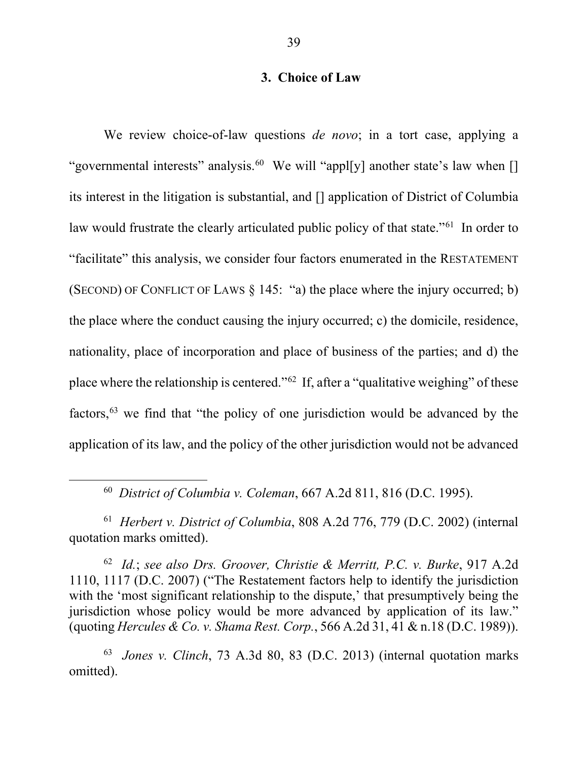## **3. Choice of Law**

We review choice-of-law questions *de novo*; in a tort case, applying a "governmental interests" analysis.<sup>60</sup> We will "appl[y] another state's law when [] its interest in the litigation is substantial, and [] application of District of Columbia law would frustrate the clearly articulated public policy of that state."<sup>61</sup> In order to "facilitate" this analysis, we consider four factors enumerated in the RESTATEMENT (SECOND) OF CONFLICT OF LAWS § 145: "a) the place where the injury occurred; b) the place where the conduct causing the injury occurred; c) the domicile, residence, nationality, place of incorporation and place of business of the parties; and d) the place where the relationship is centered."62 If, after a "qualitative weighing" of these factors,63 we find that "the policy of one jurisdiction would be advanced by the application of its law, and the policy of the other jurisdiction would not be advanced

60 *District of Columbia v. Coleman*, 667 A.2d 811, 816 (D.C. 1995).

 $\overline{\phantom{a}}$ 

61 *Herbert v. District of Columbia*, 808 A.2d 776, 779 (D.C. 2002) (internal quotation marks omitted).

62 *Id.*; *see also Drs. Groover, Christie & Merritt, P.C. v. Burke*, 917 A.2d 1110, 1117 (D.C. 2007) ("The Restatement factors help to identify the jurisdiction with the 'most significant relationship to the dispute,' that presumptively being the jurisdiction whose policy would be more advanced by application of its law." (quoting *Hercules & Co. v. Shama Rest. Corp.*, 566 A.2d 31, 41 & n.18 (D.C. 1989)).

63 *Jones v. Clinch*, 73 A.3d 80, 83 (D.C. 2013) (internal quotation marks omitted).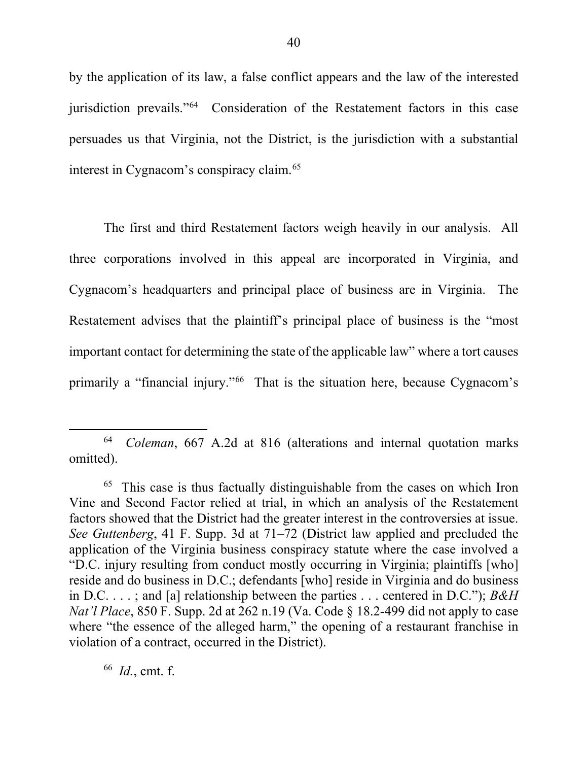by the application of its law, a false conflict appears and the law of the interested jurisdiction prevails."64 Consideration of the Restatement factors in this case persuades us that Virginia, not the District, is the jurisdiction with a substantial interest in Cygnacom's conspiracy claim.<sup>65</sup>

The first and third Restatement factors weigh heavily in our analysis. All three corporations involved in this appeal are incorporated in Virginia, and Cygnacom's headquarters and principal place of business are in Virginia. The Restatement advises that the plaintiff's principal place of business is the "most important contact for determining the state of the applicable law" where a tort causes primarily a "financial injury."66 That is the situation here, because Cygnacom's

 $\overline{a}$ 

<sup>64</sup> *Coleman*, 667 A.2d at 816 (alterations and internal quotation marks omitted).

 $65$  This case is thus factually distinguishable from the cases on which Iron Vine and Second Factor relied at trial, in which an analysis of the Restatement factors showed that the District had the greater interest in the controversies at issue. *See Guttenberg*, 41 F. Supp. 3d at 71–72 (District law applied and precluded the application of the Virginia business conspiracy statute where the case involved a "D.C. injury resulting from conduct mostly occurring in Virginia; plaintiffs [who] reside and do business in D.C.; defendants [who] reside in Virginia and do business in D.C. . . . ; and [a] relationship between the parties . . . centered in D.C."); *B&H Nat'l Place*, 850 F. Supp. 2d at 262 n.19 (Va. Code § 18.2-499 did not apply to case where "the essence of the alleged harm," the opening of a restaurant franchise in violation of a contract, occurred in the District).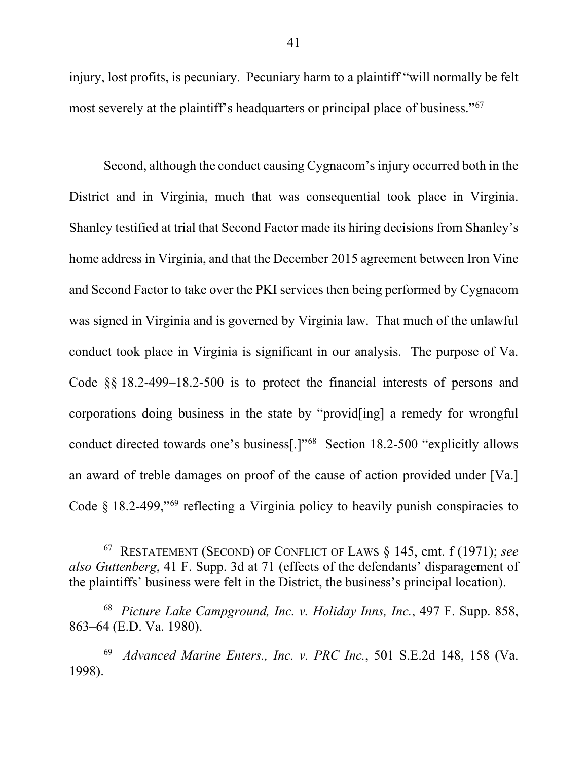injury, lost profits, is pecuniary. Pecuniary harm to a plaintiff "will normally be felt most severely at the plaintiff's headquarters or principal place of business."<sup>67</sup>

Second, although the conduct causing Cygnacom's injury occurred both in the District and in Virginia, much that was consequential took place in Virginia. Shanley testified at trial that Second Factor made its hiring decisions from Shanley's home address in Virginia, and that the December 2015 agreement between Iron Vine and Second Factor to take over the PKI services then being performed by Cygnacom was signed in Virginia and is governed by Virginia law. That much of the unlawful conduct took place in Virginia is significant in our analysis. The purpose of Va. Code §§ 18.2-499–18.2-500 is to protect the financial interests of persons and corporations doing business in the state by "provid[ing] a remedy for wrongful conduct directed towards one's business[.]"68 Section 18.2-500 "explicitly allows an award of treble damages on proof of the cause of action provided under [Va.] Code  $§$  18.2-499,"<sup>69</sup> reflecting a Virginia policy to heavily punish conspiracies to

<sup>67</sup> RESTATEMENT (SECOND) OF CONFLICT OF LAWS § 145, cmt. f (1971); *see also Guttenberg*, 41 F. Supp. 3d at 71 (effects of the defendants' disparagement of the plaintiffs' business were felt in the District, the business's principal location).

<sup>68</sup> *Picture Lake Campground, Inc. v. Holiday Inns, Inc.*, 497 F. Supp. 858, 863–64 (E.D. Va. 1980).

<sup>69</sup> *Advanced Marine Enters., Inc. v. PRC Inc.*, 501 S.E.2d 148, 158 (Va. 1998).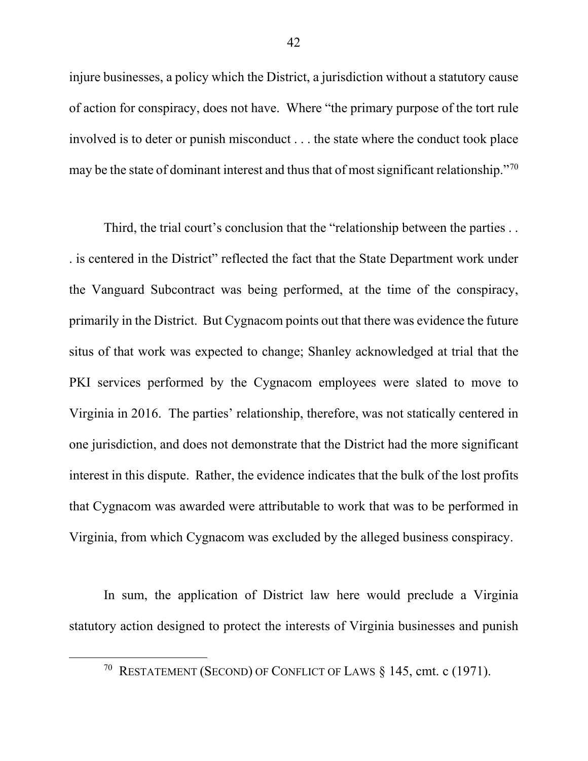injure businesses, a policy which the District, a jurisdiction without a statutory cause of action for conspiracy, does not have. Where "the primary purpose of the tort rule involved is to deter or punish misconduct . . . the state where the conduct took place may be the state of dominant interest and thus that of most significant relationship."<sup>70</sup>

Third, the trial court's conclusion that the "relationship between the parties . . . is centered in the District" reflected the fact that the State Department work under the Vanguard Subcontract was being performed, at the time of the conspiracy, primarily in the District. But Cygnacom points out that there was evidence the future situs of that work was expected to change; Shanley acknowledged at trial that the PKI services performed by the Cygnacom employees were slated to move to Virginia in 2016. The parties' relationship, therefore, was not statically centered in one jurisdiction, and does not demonstrate that the District had the more significant interest in this dispute. Rather, the evidence indicates that the bulk of the lost profits that Cygnacom was awarded were attributable to work that was to be performed in Virginia, from which Cygnacom was excluded by the alleged business conspiracy.

In sum, the application of District law here would preclude a Virginia statutory action designed to protect the interests of Virginia businesses and punish

<sup>&</sup>lt;sup>70</sup> RESTATEMENT (SECOND) OF CONFLICT OF LAWS  $§$  145, cmt. c (1971).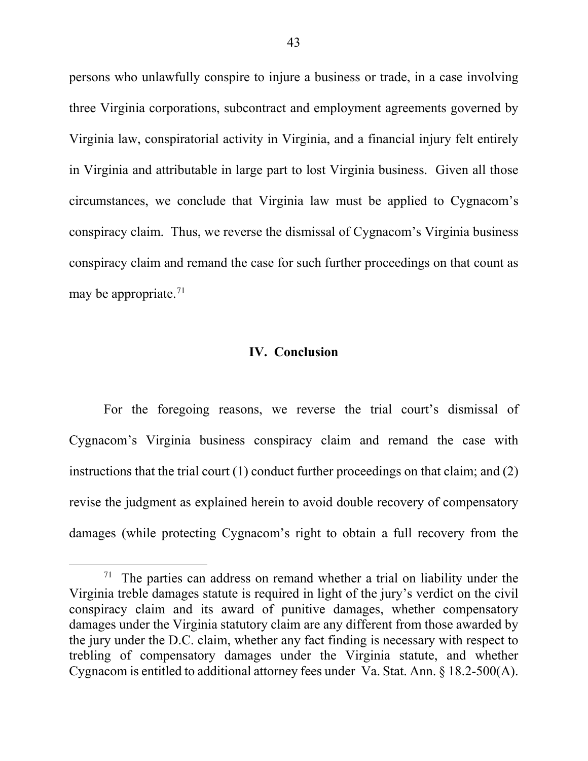persons who unlawfully conspire to injure a business or trade, in a case involving three Virginia corporations, subcontract and employment agreements governed by Virginia law, conspiratorial activity in Virginia, and a financial injury felt entirely in Virginia and attributable in large part to lost Virginia business. Given all those circumstances, we conclude that Virginia law must be applied to Cygnacom's conspiracy claim. Thus, we reverse the dismissal of Cygnacom's Virginia business conspiracy claim and remand the case for such further proceedings on that count as may be appropriate.<sup>71</sup>

### **IV. Conclusion**

For the foregoing reasons, we reverse the trial court's dismissal of Cygnacom's Virginia business conspiracy claim and remand the case with instructions that the trial court (1) conduct further proceedings on that claim; and (2) revise the judgment as explained herein to avoid double recovery of compensatory damages (while protecting Cygnacom's right to obtain a full recovery from the

l

 $71$  The parties can address on remand whether a trial on liability under the Virginia treble damages statute is required in light of the jury's verdict on the civil conspiracy claim and its award of punitive damages, whether compensatory damages under the Virginia statutory claim are any different from those awarded by the jury under the D.C. claim, whether any fact finding is necessary with respect to trebling of compensatory damages under the Virginia statute, and whether Cygnacom is entitled to additional attorney fees under Va. Stat. Ann. § 18.2-500(A).